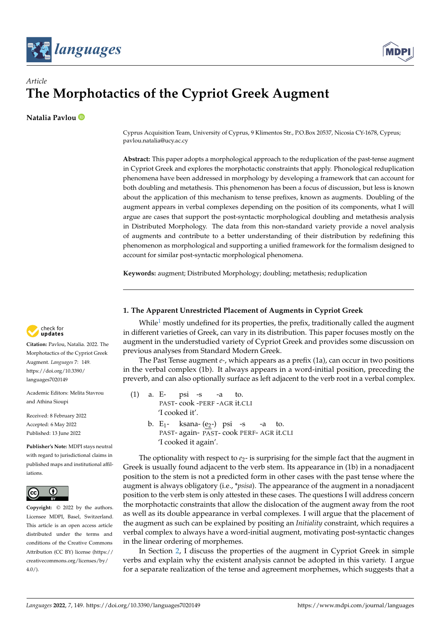



# *Article* **The Morphotactics of the Cypriot Greek Augment**

**Natalia Pavlou**

Cyprus Acquisition Team, University of Cyprus, 9 Klimentos Str., P.O.Box 20537, Nicosia CY-1678, Cyprus; pavlou.natalia@ucy.ac.cy

**Abstract:** This paper adopts a morphological approach to the reduplication of the past-tense augment in Cypriot Greek and explores the morphotactic constraints that apply. Phonological reduplication phenomena have been addressed in morphology by developing a framework that can account for both doubling and metathesis. This phenomenon has been a focus of discussion, but less is known about the application of this mechanism to tense prefixes, known as augments. Doubling of the augment appears in verbal complexes depending on the position of its components, what I will argue are cases that support the post-syntactic morphological doubling and metathesis analysis in Distributed Morphology. The data from this non-standard variety provide a novel analysis of augments and contribute to a better understanding of their distribution by redefining this phenomenon as morphological and supporting a unified framework for the formalism designed to account for similar post-syntactic morphological phenomena.

**Keywords:** augment; Distributed Morphology; doubling; metathesis; reduplication



**Citation:** Pavlou, Natalia. 2022. The Morphotactics of the Cypriot Greek Augment. *Languages* 7: 149. [https://doi.org/10.3390/](https://doi.org/10.3390/languages7020149) [languages7020149](https://doi.org/10.3390/languages7020149)

Academic Editors: Melita Stavrou and Athina Sioupi

Received: 8 February 2022 Accepted: 6 May 2022 Published: 13 June 2022

**Publisher's Note:** MDPI stays neutral with regard to jurisdictional claims in published maps and institutional affiliations.



**Copyright:** © 2022 by the authors. Licensee MDPI, Basel, Switzerland. This article is an open access article distributed under the terms and conditions of the Creative Commons Attribution (CC BY) license [\(https://](https://creativecommons.org/licenses/by/4.0/) [creativecommons.org/licenses/by/](https://creativecommons.org/licenses/by/4.0/)  $4.0/$ ).

# **1. The Apparent Unrestricted Placement of Augments in Cypriot Greek**

<span id="page-0-0"></span>While<sup>[1](#page-22-0)</sup> mostly undefined for its properties, the prefix, traditionally called the augment in different varieties of Greek, can vary in its distribution. This paper focuses mostly on the augment in the understudied variety of Cypriot Greek and provides some discussion on previous analyses from Standard Modern Greek.

The Past Tense augment *e-*, which appears as a prefix (1a), can occur in two positions in the verbal complex (1b). It always appears in a word-initial position, preceding the preverb, and can also optionally surface as left adjacent to the verb root in a verbal complex.

(1) a. E-PAST-cook -PERF -AGR it.CLI psi -s -a to. 'I cooked it'. b. E<sub>1</sub>- ksana-(<u>e2</u>-) psi -s -a to. PAST-again- PAST-cook PERF- AGR it.CLI 'I cooked it again'.

The optionality with respect to  $e_2$ - is surprising for the simple fact that the augment in Greek is usually found adjacent to the verb stem. Its appearance in (1b) in a nonadjacent position to the stem is not a predicted form in other cases with the past tense where the augment is always obligatory (i.e., \**psisa*). The appearance of the augment in a nonadjacent position to the verb stem is only attested in these cases. The questions I will address concern the morphotactic constraints that allow the dislocation of the augment away from the root as well as its double appearance in verbal complexes. I will argue that the placement of the augment as such can be explained by positing an *Initiality* constraint, which requires a verbal complex to always have a word-initial augment, motivating post-syntactic changes in the linear ordering of morphemes.

In Section [2,](#page-1-0) I discuss the properties of the augment in Cypriot Greek in simple verbs and explain why the existent analysis cannot be adopted in this variety. I argue for a separate realization of the tense and agreement morphemes, which suggests that a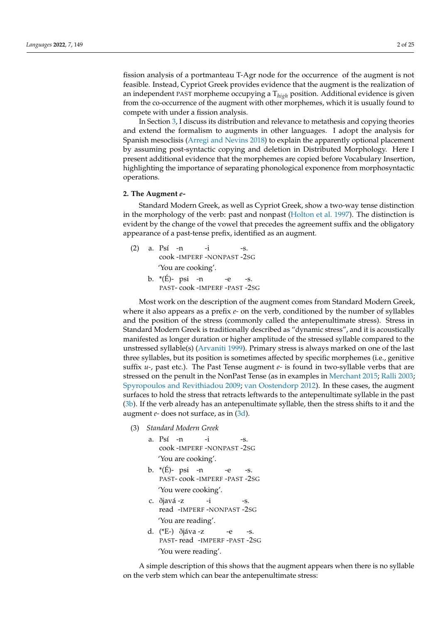fission analysis of a portmanteau T-Agr node for the occurrence of the augment is not feasible. Instead, Cypriot Greek provides evidence that the augment is the realization of an independent PAST morpheme occupying a T*high* position. Additional evidence is given from the co-occurrence of the augment with other morphemes, which it is usually found to compete with under a fission analysis.

In Section [3,](#page-8-0) I discuss its distribution and relevance to metathesis and copying theories and extend the formalism to augments in other languages. I adopt the analysis for Spanish mesoclisis [\(Arregi and Nevins](#page-23-0) [2018\)](#page-23-0) to explain the apparently optional placement by assuming post-syntactic copying and deletion in Distributed Morphology. Here I present additional evidence that the morphemes are copied before Vocabulary Insertion, highlighting the importance of separating phonological exponence from morphosyntactic operations.

### <span id="page-1-0"></span>**2. The Augment** *e-*

Standard Modern Greek, as well as Cypriot Greek, show a two-way tense distinction in the morphology of the verb: past and nonpast [\(Holton et al.](#page-23-1) [1997\)](#page-23-1). The distinction is evident by the change of the vowel that precedes the agreement suffix and the obligatory appearance of a past-tense prefix, identified as an augment.

- (2) a. Psí -n cook -IMPERF -NONPAST -2SG -i -s. 'You are cooking'. b. \*(É)- psi -n -e -s.
	- PAST-cook -IMPERF -PAST -2SG

Most work on the description of the augment comes from Standard Modern Greek, where it also appears as a prefix *e-* on the verb, conditioned by the number of syllables and the position of the stress (commonly called the antepenultimate stress). Stress in Standard Modern Greek is traditionally described as "dynamic stress", and it is acoustically manifested as longer duration or higher amplitude of the stressed syllable compared to the unstressed syllable(s) [\(Arvaniti](#page-23-2) [1999\)](#page-23-2). Primary stress is always marked on one of the last three syllables, but its position is sometimes affected by specific morphemes (i.e., genitive suffix *u-*, past etc.). The Past Tense augment *e-* is found in two-syllable verbs that are stressed on the penult in the NonPast Tense (as in examples in [Merchant](#page-24-0) [2015;](#page-24-0) [Ralli](#page-24-1) [2003;](#page-24-1) [Spyropoulos and Revithiadou](#page-24-2) [2009;](#page-24-2) [van Oostendorp](#page-24-3) [2012\)](#page-24-3). In these cases, the augment surfaces to hold the stress that retracts leftwards to the antepenultimate syllable in the past [\(3b\)](#page-1-1). If the verb already has an antepenultimate syllable, then the stress shifts to it and the augment *e-* does not surface, as in [\(3d\)](#page-1-2).

- <span id="page-1-1"></span>(3) *Standard Modern Greek*
	- a. Psí -n cook -IMPERF -NONPAST -2SG -i -s. 'You are cooking'.
	- b. \*(É)- psi -n PAST-cook -IMPERF -PAST -2SG -e -s. 'You were cooking'.
	- c.) ðjavá -z read -IMPERF -NONPAST -2SG -i  $-S$ . 'You are reading'.
	- d. (\*E-) ðjáva -z PAST-read -IMPERF -PAST -2SG -e -s. 'You were reading'.

<span id="page-1-2"></span>A simple description of this shows that the augment appears when there is no syllable on the verb stem which can bear the antepenultimate stress: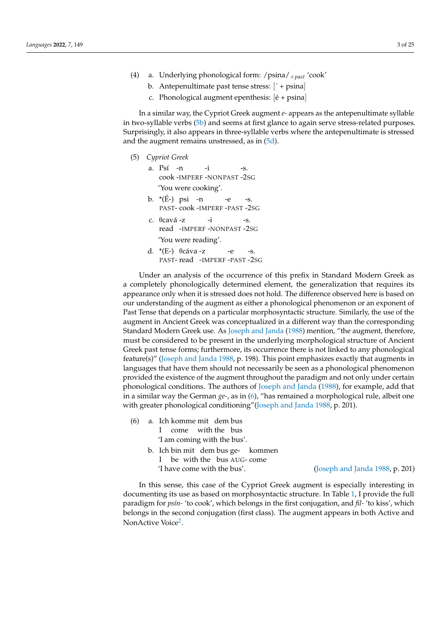- (4) a. Underlying phonological form: /psina/+*past* 'cook'
	- b. Antepenultimate past tense stress:  $\left[4 + \frac{1}{2}$
	- c. Phonological augment epenthesis: [é + psina]

In a similar way, the Cypriot Greek augment *e-* appears as the antepenultimate syllable in two-syllable verbs [\(5b\)](#page-2-0) and seems at first glance to again serve stress-related purposes. Surprisingly, it also appears in three-syllable verbs where the antepenultimate is stressed and the augment remains unstressed, as in [\(5d\)](#page-2-1).

- <span id="page-2-0"></span>(5) *Cypriot Greek*
	- a. Psí -n cook -IMPERF -NONPAST -2SG -i  $-c$ 'You were cooking'.
	- b. \*(É-) psi -n PAST-cook -IMPERF -PAST -2SG -e -s.
	- c. θcavá -z read -IMPERF -NONPAST -2SG -i -s. 'You were reading'.
	- d. \*(E-) θcáva -z PAST-read -IMPERF -PAST -2SG -e  $-S$ .

<span id="page-2-1"></span>Under an analysis of the occurrence of this prefix in Standard Modern Greek as a completely phonologically determined element, the generalization that requires its appearance only when it is stressed does not hold. The difference observed here is based on our understanding of the augment as either a phonological phenomenon or an exponent of Past Tense that depends on a particular morphosyntactic structure. Similarly, the use of the augment in Ancient Greek was conceptualized in a different way than the corresponding Standard Modern Greek use. As [Joseph and Janda](#page-23-3) [\(1988\)](#page-23-3) mention, "the augment, therefore, must be considered to be present in the underlying morphological structure of Ancient Greek past tense forms; furthermore, its occurrence there is not linked to any phonological feature(s)" [\(Joseph and Janda](#page-23-3) [1988,](#page-23-3) p. 198). This point emphasizes exactly that augments in languages that have them should not necessarily be seen as a phonological phenomenon provided the existence of the augment throughout the paradigm and not only under certain phonological conditions. The authors of [Joseph and Janda](#page-23-3) [\(1988\)](#page-23-3), for example, add that in a similar way the German *ge-*, as in [\(6\)](#page-2-2), "has remained a morphological rule, albeit one with greater phonological conditioning"[\(Joseph and Janda](#page-23-3) [1988,](#page-23-3) p. 201).

- <span id="page-2-2"></span>(6) a. Ich komme mit dem bus
	- I come with the bus
	- 'I am coming with the bus'.
	- b. Ich bin mit dem bus ge-kommen
		- I be with the bus AUG-come
		-

<span id="page-2-3"></span>'I have come with the bus'. [\(Joseph and Janda](#page-23-3) [1988,](#page-23-3) p. 201)

In this sense, this case of the Cypriot Greek augment is especially interesting in documenting its use as based on morphosyntactic structure. In Table [1,](#page-3-0) I provide the full paradigm for *psín-* 'to cook', which belongs in the first conjugation, and *fil-* 'to kiss', which belongs in the second conjugation (first class). The augment appears in both Active and NonActive Voice<sup>[2](#page-22-1)</sup>.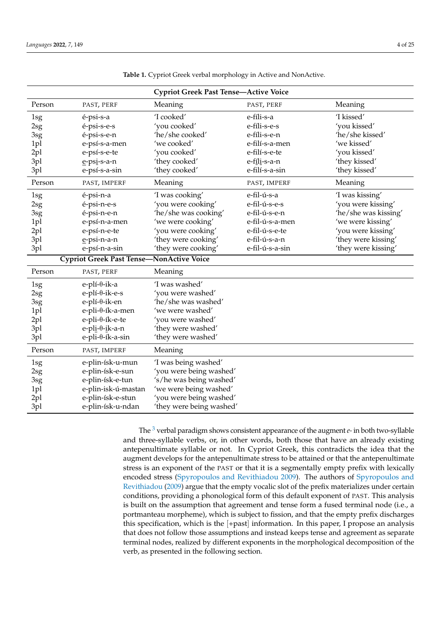| <b>Cypriot Greek Past Tense-Active Voice</b>                  |                                                                                                                                          |                                                                                                                                                             |                                                                                                                        |                                                                                                                                                        |  |
|---------------------------------------------------------------|------------------------------------------------------------------------------------------------------------------------------------------|-------------------------------------------------------------------------------------------------------------------------------------------------------------|------------------------------------------------------------------------------------------------------------------------|--------------------------------------------------------------------------------------------------------------------------------------------------------|--|
| Person                                                        | PAST, PERF                                                                                                                               | Meaning                                                                                                                                                     | PAST, PERF                                                                                                             | Meaning                                                                                                                                                |  |
| 1sg<br>$2sg$<br>$3{\rm sg}$<br>1pl<br>2pl<br>3pl              | é-psi-s-a<br>é-psi-s-e-s<br>é-psi-s-e-n<br>e-psí-s-a-men<br>e-psí-s-e-te<br>e-psi-s-a-n                                                  | 'I cooked'<br>'you cooked'<br>'he/she cooked'<br>'we cooked'<br>'you cooked'<br>'they cooked'                                                               | e-fíli-s-a<br>e-fíli-s-e-s<br>e-fíli-s-e-n<br>e-filí-s-a-men<br>e-filí-s-e-te<br>e-fíli-s-a-n                          | 'I kissed'<br>'you kissed'<br>'he/she kissed'<br>'we kissed'<br>'you kissed'<br>'they kissed'                                                          |  |
| 3pl                                                           | e-psí-s-a-sin                                                                                                                            | 'they cooked'                                                                                                                                               | e-filí-s-a-sin                                                                                                         | 'they kissed'                                                                                                                                          |  |
| Person                                                        | PAST, IMPERF                                                                                                                             | Meaning                                                                                                                                                     | PAST, IMPERF                                                                                                           | Meaning                                                                                                                                                |  |
| 1sg<br>$2sg$<br>$3sg$<br>1pl<br>2pl<br>3pl<br>3pl             | é-psi-n-a<br>é-psi-n-e-s<br>é-psi-n-e-n<br>e-psí-n-a-men<br>e-psí-n-e-te<br>e-psi-n-a-n<br>e-psí-n-a-sin                                 | 'I was cooking'<br>'you were cooking'<br>'he/she was cooking'<br>'we were cooking'<br>'you were cooking'<br>'they were cooking'<br>'they were cooking'      | e-fil-ú-s-a<br>e-fil-ú-s-e-s<br>e-fil-ú-s-e-n<br>e-fil-ú-s-a-men<br>e-fil-ú-s-e-te<br>e-fil-ú-s-a-n<br>e-fil-ú-s-a-sin | 'I was kissing'<br>'you were kissing'<br>'he/she was kissing'<br>'we were kissing'<br>'you were kissing'<br>'they were kissing'<br>'they were kissing' |  |
|                                                               | <b>Cypriot Greek Past Tense-NonActive Voice</b>                                                                                          |                                                                                                                                                             |                                                                                                                        |                                                                                                                                                        |  |
| Person                                                        | PAST, PERF                                                                                                                               | Meaning                                                                                                                                                     |                                                                                                                        |                                                                                                                                                        |  |
| 1sg<br>$2{\rm sg}$<br>$3{\rm sg}$<br>1pl<br>2pl<br>3pl<br>3pl | $e$ -plí- $\theta$ -ik-a<br>e-plí-θ-ik-e-s<br>e-plí-θ-ik-en<br>e-pli-θ-ík-a-men<br>e-pli-θ-ík-e-te<br>e-pli-θ-ik-a-n<br>e-pli-θ-ík-a-sin | 'I was washed'<br>'you were washed'<br>'he/she was washed'<br>'we were washed'<br>'you were washed'<br>'they were washed'<br>'they were washed'             |                                                                                                                        |                                                                                                                                                        |  |
| Person                                                        | PAST, IMPERF                                                                                                                             | Meaning                                                                                                                                                     |                                                                                                                        |                                                                                                                                                        |  |
| 1sg<br>$2{\rm sg}$<br>$3sg$<br>1pl<br>2pl<br>3pl              | e-plin-ísk-u-mun<br>e-plin-ísk-e-sun<br>e-plin-ísk-e-tun<br>e-plin-isk-ú-mastan<br>e-plin-ísk-e-stun<br>e-plin-ísk-u-ndan                | 'I was being washed'<br>'you were being washed'<br>'s/he was being washed'<br>'we were being washed'<br>'you were being washed'<br>'they were being washed' |                                                                                                                        |                                                                                                                                                        |  |

<span id="page-3-0"></span>**Table 1.** Cypriot Greek verbal morphology in Active and NonActive.

<span id="page-3-1"></span>The [3](#page-22-2) verbal paradigm shows consistent appearance of the augment*e-* in both two-syllable and three-syllable verbs, or, in other words, both those that have an already existing antepenultimate syllable or not. In Cypriot Greek, this contradicts the idea that the augment develops for the antepenultimate stress to be attained or that the antepenultimate stress is an exponent of the PAST or that it is a segmentally empty prefix with lexically encoded stress [\(Spyropoulos and Revithiadou](#page-24-2) [2009\)](#page-24-2). The authors of [Spyropoulos and](#page-24-2) [Revithiadou](#page-24-2) [\(2009\)](#page-24-2) argue that the empty vocalic slot of the prefix materializes under certain conditions, providing a phonological form of this default exponent of PAST. This analysis is built on the assumption that agreement and tense form a fused terminal node (i.e., a portmanteau morpheme), which is subject to fission, and that the empty prefix discharges this specification, which is the [+past] information. In this paper, I propose an analysis that does not follow those assumptions and instead keeps tense and agreement as separate terminal nodes, realized by different exponents in the morphological decomposition of the verb, as presented in the following section.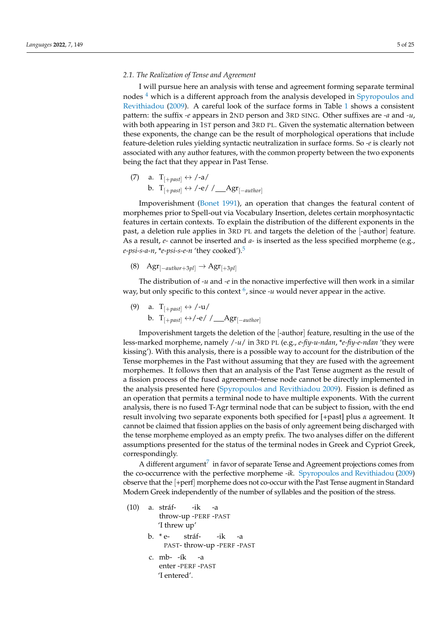#### *2.1. The Realization of Tense and Agreement*

<span id="page-4-1"></span>I will pursue here an analysis with tense and agreement forming separate terminal nodes [4](#page-22-3) which is a different approach from the analysis developed in [Spyropoulos and](#page-24-2) [Revithiadou](#page-24-2) [\(2009\)](#page-24-2). A careful look of the surface forms in Table [1](#page-3-0) shows a consistent pattern: the suffix *-e* appears in 2ND person and 3RD SING. Other suffixes are *-a* and *-u*, with both appearing in 1ST person and 3RD PL. Given the systematic alternation between these exponents, the change can be the result of morphological operations that include feature-deletion rules yielding syntactic neutralization in surface forms. So *-e* is clearly not associated with any author features, with the common property between the two exponents being the fact that they appear in Past Tense.

(7) a. T<sub> $[+$ *past* $] \leftrightarrow$  /-a/</sub> b. T<sub>[+past]</sub>  $\leftrightarrow$  /-e/ / \_\_Agr<sub>[−author</sub>]

Impoverishment [\(Bonet](#page-23-4) [1991\)](#page-23-4), an operation that changes the featural content of morphemes prior to Spell-out via Vocabulary Insertion, deletes certain morphosyntactic features in certain contexts. To explain the distribution of the different exponents in the past, a deletion rule applies in 3RD PL and targets the deletion of the [-author] feature. As a result, *e-* cannot be inserted and *a-* is inserted as the less specified morpheme (e.g., *e-psi-s-a-n*, \**e-psi-s-e-n* 'they cooked').[5](#page-22-4)

<span id="page-4-2"></span>(8)  $\text{Agr}_{[-\text{author}+3\text{pl}]} \rightarrow \text{Agr}_{[+3\text{pl}]}$ 

The distribution of *-u* and *-e* in the nonactive imperfective will then work in a similar way, but only specific to this context <sup>[6](#page-22-5)</sup>, since -*u* would never appear in the active.

<span id="page-4-3"></span>(9) a. T<sub>[+past]</sub>  $\leftrightarrow$  /-u/ b. T<sub>[+past]</sub>  $\leftrightarrow$  /-e/ / \_\_Agr<sub>[−author]</sub>

Impoverishment targets the deletion of the [-author] feature, resulting in the use of the less-marked morpheme, namely /*-u*/ in 3RD PL (e.g., *e-fiy-u-ndan*, \**e-fiy-e-ndan* 'they were kissing'). With this analysis, there is a possible way to account for the distribution of the Tense morphemes in the Past without assuming that they are fused with the agreement morphemes. It follows then that an analysis of the Past Tense augment as the result of a fission process of the fused agreement–tense node cannot be directly implemented in the analysis presented here [\(Spyropoulos and Revithiadou](#page-24-2) [2009\)](#page-24-2). Fission is defined as an operation that permits a terminal node to have multiple exponents. With the current analysis, there is no fused T-Agr terminal node that can be subject to fission, with the end result involving two separate exponents both specified for [+past] plus *α* agreement. It cannot be claimed that fission applies on the basis of only agreement being discharged with the tense morpheme employed as an empty prefix. The two analyses differ on the different assumptions presented for the status of the terminal nodes in Greek and Cypriot Greek, correspondingly.

<span id="page-4-4"></span>A different argument<sup>[7](#page-22-6)</sup> in favor of separate Tense and Agreement projections comes from the co-occurrence with the perfective morpheme *-ik*. [Spyropoulos and Revithiadou](#page-24-2) [\(2009\)](#page-24-2) observe that the [+perf] morpheme does not co-occur with the Past Tense augment in Standard Modern Greek independently of the number of syllables and the position of the stress.

<span id="page-4-0"></span>(10) a. stráfthrow-up -PERF -PAST -ik -a 'I threw up' b.  $*_{\rho}$ PAST-throw-up -PERF -PAST stráf--ik -a c. mb--ík enter -PERF -PAST -a 'I entered'.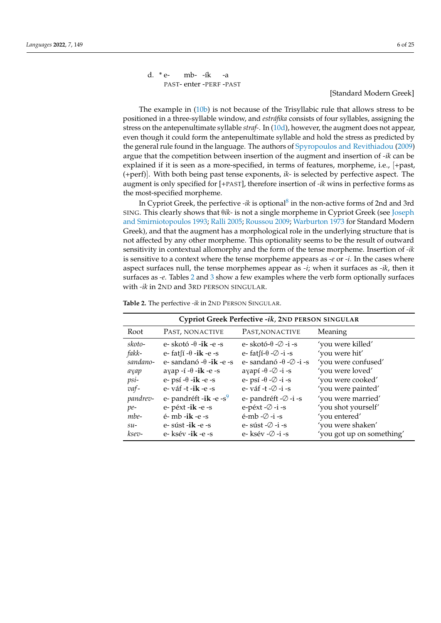<span id="page-5-0"></span>d. \* e-PAST<mark>- enter -</mark>PERF -PAST mb--ík -a

# <span id="page-5-2"></span>[Standard Modern Greek]

The example in [\(10b\)](#page-4-0) is not because of the Trisyllabic rule that allows stress to be positioned in a three-syllable window, and *estráfika* consists of four syllables, assigning the stress on the antepenultimate syllable *straf-*. In [\(10d\)](#page-5-0), however, the augment does not appear, even though it could form the antepenultimate syllable and hold the stress as predicted by the general rule found in the language. The authors of [Spyropoulos and Revithiadou](#page-24-2) [\(2009\)](#page-24-2) argue that the competition between insertion of the augment and insertion of *-ik* can be explained if it is seen as a more-specified, in terms of features, morpheme, i.e., [+past, (+perf)]. With both being past tense exponents, *ik-* is selected by perfective aspect. The augment is only specified for [+PAST], therefore insertion of *-ik* wins in perfective forms as the most-specified morpheme.

In Cypriot Greek, the perfective -ik is optional<sup>[8](#page-22-7)</sup> in the non-active forms of 2nd and 3rd SING. This clearly shows that T*ik-* is not a single morpheme in Cypriot Greek (see [Joseph](#page-24-4) [and Smirniotopoulos](#page-24-4) [1993;](#page-24-4) [Ralli](#page-24-5) [2005;](#page-24-5) [Roussou](#page-24-6) [2009;](#page-24-6) [Warburton](#page-24-7) [1973](#page-24-7) for Standard Modern Greek), and that the augment has a morphological role in the underlying structure that is not affected by any other morpheme. This optionality seems to be the result of outward sensitivity in contextual allomorphy and the form of the tense morpheme. Insertion of *-ik* is sensitive to a context where the tense morpheme appears as *-e* or *-i*. In the cases where aspect surfaces null, the tense morphemes appear as *-i*; when it surfaces as *-ik*, then it surfaces as *-e*. Tables [2](#page-5-1) and [3](#page-6-0) show a few examples where the verb form optionally surfaces with *-ik* in 2ND and 3RD PERSON SINGULAR.

<span id="page-5-3"></span>

|          | Cypriot Greek Perfective -ik, 2ND PERSON SINGULAR |                                             |                           |  |  |  |
|----------|---------------------------------------------------|---------------------------------------------|---------------------------|--|--|--|
| Root     | PAST, NONACTIVE                                   | PAST, NONACTIVE                             | Meaning                   |  |  |  |
| skoto-   | e-skotó - $\theta$ -ik -e -s                      | e- skotó- $\theta$ - $\oslash$ -i -s        | 'you were killed'         |  |  |  |
| fakk-    | e- fat $\int$ í - $\theta$ -ik -e -s              | e- fat $\int$ í- $\theta$ - $\oslash$ -i-s  | 'you were hit'            |  |  |  |
| sandano- | e-sandanó - $\theta$ -ik -e -s                    | e- sandanó - $\theta$ - $\varnothing$ -i -s | 'you were confused'       |  |  |  |
| ayap     | ayap -í - $\theta$ -ik -e -s                      | $ayapi -\theta -\emptyset -i -s$            | 'you were loved'          |  |  |  |
| $psi$ -  | e- $psi - \theta - ik - e - s$                    | e- psí - $\theta$ - $\varnothing$ -i -s     | 'you were cooked'         |  |  |  |
| $vaf -$  | e-váf-t-ik-e-s                                    | e-váf-t-Ø-i-s                               | 'you were painted'        |  |  |  |
| pandrev- | e- pandréft -ik -e -s <sup>9</sup>                | e- pandréft -Ø -i -s                        | 'you were married'        |  |  |  |
| $pe-$    | e-péxt-ik-e-s                                     | e-péxt -∅ -i -s                             | 'you shot yourself'       |  |  |  |
| mbe-     | $é$ - mb -ik -e -s                                | $é-mb - \oslash -i -s$                      | 'you entered'             |  |  |  |
| $su-$    | e-súst-ik-e-s                                     | e-súst - $\oslash$ -i -s                    | 'you were shaken'         |  |  |  |
| ksev-    | e- ksév -ik -e -s                                 | e- ksév -∅ -i -s                            | 'you got up on something' |  |  |  |

<span id="page-5-1"></span>**Table 2.** The perfective *-ik* in 2ND PERSON SINGULAR.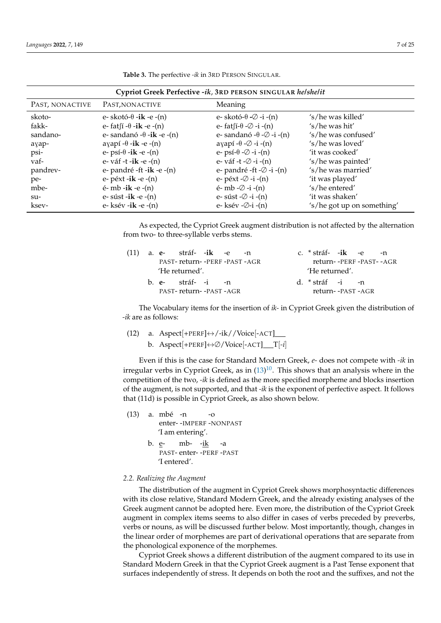| Cypriot Greek Perfective -ik, 3RD PERSON SINGULAR helshelit                              |                                                                                                                                                                                                                                                                                                                         |                                                                                                                                                                                                                                                                                                                                                                                                      |                                                                                                                                                                                                       |  |  |
|------------------------------------------------------------------------------------------|-------------------------------------------------------------------------------------------------------------------------------------------------------------------------------------------------------------------------------------------------------------------------------------------------------------------------|------------------------------------------------------------------------------------------------------------------------------------------------------------------------------------------------------------------------------------------------------------------------------------------------------------------------------------------------------------------------------------------------------|-------------------------------------------------------------------------------------------------------------------------------------------------------------------------------------------------------|--|--|
| PAST, NONACTIVE                                                                          | PAST, NONACTIVE                                                                                                                                                                                                                                                                                                         | Meaning                                                                                                                                                                                                                                                                                                                                                                                              |                                                                                                                                                                                                       |  |  |
| skoto-<br>fakk-<br>sandano-<br>ayap-<br>psi-<br>vaf-<br>pandrev-<br>pe-<br>mbe-<br>$su-$ | e- skotó- $\theta$ -ik -e -(n)<br>e- fat $\int$ í - $\theta$ -ik -e - $(n)$<br>e-sandanó - $\theta$ -ik -e -(n)<br>$ayapi -θ -ik -e -(n)$<br>e- $psí$ - $\theta$ -ik-e- $(n)$<br>e-váf-t- $ik -e - (n)$<br>e- pandré -ft -ik -e -(n)<br>e- $p$ $ext -ik -e - (n)$<br>$\acute{e}$ - mb -ik -e -(n)<br>e-súst-ik-e $-(n)$ | e-skotó- $\theta$ - $\emptyset$ -i- $(n)$<br>e- fat $[i-\theta - \varnothing -i-(n)]$<br>e-sandanó - $\theta$ - $\emptyset$ -i -(n)<br>$ayapi -\theta -\emptyset -i -(n)$<br>e- psí- $\theta$ - $\emptyset$ -i- $(n)$<br>e-váf-t- $\emptyset$ -i-(n)<br>e- pandré -ft - $\emptyset$ -i -(n)<br>e- péxt - $\emptyset$ -i -(n)<br>$\acute{e}$ - mb - $\oslash$ -i -(n)<br>e-súst - $\emptyset$ -i -(n) | 's/he was killed'<br>'s/he was hit'<br>'s/he was confused'<br>'s/he was loved'<br>'it was cooked'<br>'s/he was painted'<br>'s/he was married'<br>'it was played'<br>'s/he entered'<br>'it was shaken' |  |  |
| ksev-                                                                                    | e- $k$ sév -i $k$ -e -(n)                                                                                                                                                                                                                                                                                               | e- ksév - $\oslash$ -i -(n)                                                                                                                                                                                                                                                                                                                                                                          | 's/he got up on something'                                                                                                                                                                            |  |  |

<span id="page-6-0"></span>**Table 3.** The perfective *-ik* in 3RD PERSON SINGULAR.

As expected, the Cypriot Greek augment distribution is not affected by the alternation from two- to three-syllable verbs stems.

|  | $(11)$ a. e- stráf- -ik -e -n | c. * stráf- -ik -e -n     |
|--|-------------------------------|---------------------------|
|  | PAST-return--PERF-PAST-AGR    | return- -PERF -PAST- -AGR |
|  | 'He returned'.                | 'He returned'.            |
|  | $h$ $e$ - stráf- -i -n        | d * stráf -i -n           |
|  | PAST-return--PAST-AGR         | return- -PAST -AGR        |
|  |                               |                           |

The Vocabulary items for the insertion of *ik-* in Cypriot Greek given the distribution of *-ik* are as follows:

(12) a. Aspect $[+PERF] \leftrightarrow /-ik // \text{Voice}[-ACT]$ b. Aspect[+PERF]↔∅/Voice[-ACT] T[*-i*]

<span id="page-6-2"></span>Even if this is the case for Standard Modern Greek, *e-* does not compete with *-ik* in irregular verbs in Cypriot Greek, as in  $(13)^{10}$  $(13)^{10}$  $(13)^{10}$  $(13)^{10}$ . This shows that an analysis where in the competition of the two, *-ik* is defined as the more specified morpheme and blocks insertion of the augment, is not supported, and that *-ik* is the exponent of perfective aspect. It follows that (11d) is possible in Cypriot Greek, as also shown below.

- <span id="page-6-3"></span><span id="page-6-1"></span>(13) a. mbé -n enter- -IMPERF -NONPAST  $-\Omega$ 'I am entering'.
	- b. e-PAST<mark>- enter- -</mark>PERF **-**PAST mb- -<u>ik</u> -a 'I entered'.

#### *2.2. Realizing the Augment*

The distribution of the augment in Cypriot Greek shows morphosyntactic differences with its close relative, Standard Modern Greek, and the already existing analyses of the Greek augment cannot be adopted here. Even more, the distribution of the Cypriot Greek augment in complex items seems to also differ in cases of verbs preceded by preverbs, verbs or nouns, as will be discussed further below. Most importantly, though, changes in the linear order of morphemes are part of derivational operations that are separate from the phonological exponence of the morphemes.

Cypriot Greek shows a different distribution of the augment compared to its use in Standard Modern Greek in that the Cypriot Greek augment is a Past Tense exponent that surfaces independently of stress. It depends on both the root and the suffixes, and not the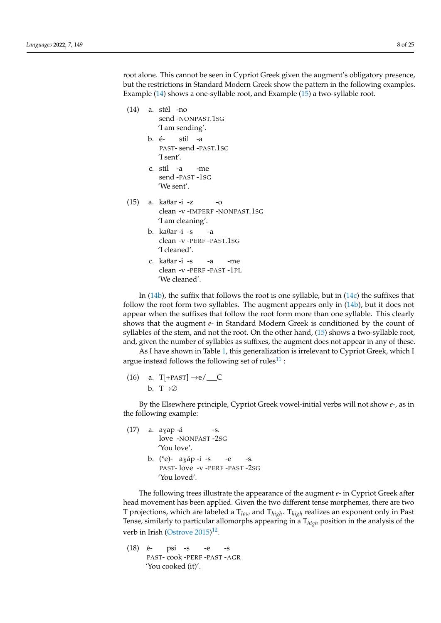root alone. This cannot be seen in Cypriot Greek given the augment's obligatory presence, but the restrictions in Standard Modern Greek show the pattern in the following examples. Example [\(14\)](#page-7-0) shows a one-syllable root, and Example [\(15\)](#page-7-1) a two-syllable root.

```
(14) a. stél
-no
          send
-NONPAST.1SG
         'I am sending'.
      b. é-
          PAST-
send
-PAST.1SG
                stil
-a
         'I sent'.
      c. stíl
-a
          send
-PAST
-1SG
                     -me
         'We sent'.
(15) a. kaθar-i -z
          clean
-v
-IMPERF
-NONPAST.1SG
                           -\Omega'I am cleaning'.
      b. ka\thetaar -i -s
          clean
-v
-PERF
-PAST.1SG
                        -a
         'I cleaned'.
      c. kaθar-i -s
          clean
-v
-PERF
-PAST
-1PL
                        -a
                               -me
         'We cleaned'.
```
In  $(14b)$ , the suffix that follows the root is one syllable, but in  $(14c)$  the suffixes that follow the root form two syllables. The augment appears only in [\(14b\)](#page-7-2), but it does not appear when the suffixes that follow the root form more than one syllable. This clearly shows that the augment *e-* in Standard Modern Greek is conditioned by the count of syllables of the stem, and not the root. On the other hand, [\(15\)](#page-7-1) shows a two-syllable root, and, given the number of syllables as suffixes, the augment does not appear in any of these.

As I have shown in Table [1,](#page-3-0) this generalization is irrelevant to Cypriot Greek, which I argue instead follows the following set of rules $11$ :

<span id="page-7-4"></span>(16) a. 
$$
T[+PAST] \rightarrow e/\_\_\mathbb{C}
$$
  
b.  $T \rightarrow \emptyset$ 

By the Elsewhere principle, Cypriot Greek vowel-initial verbs will not show *e-*, as in the following example:

```
(17) a. ayap-á
         love
-NONPAST
-2SG
                        -S.'You love'.
      b. (*e)- ayáp-i -s -e
         PAST-
love
-v
-PERF
-PAST
-2SG
                                 -S.'You loved'.
```
The following trees illustrate the appearance of the augment *e-* in Cypriot Greek after head movement has been applied. Given the two different tense morphemes, there are two T projections, which are labeled a T*low* and T*high*. T*high* realizes an exponent only in Past Tense, similarly to particular allomorphs appearing in a T*high* position in the analysis of the verb in Irish [\(Ostrove](#page-24-8) [2015\)](#page-24-8)<sup>[12](#page-22-11)</sup>.

<span id="page-7-5"></span>(18) é-PAST-cook -PERF -PAST -AGR psi -s -e -s 'You cooked (it)'.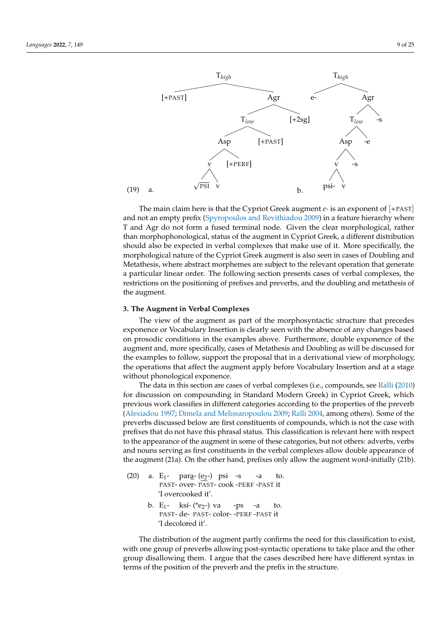

The main claim here is that the Cypriot Greek augment *e-* is an exponent of [+PAST] and not an empty prefix [\(Spyropoulos and Revithiadou](#page-24-2) [2009\)](#page-24-2) in a feature hierarchy where T and Agr do not form a fused terminal node. Given the clear morphological, rather than morphophonological, status of the augment in Cypriot Greek, a different distribution should also be expected in verbal complexes that make use of it. More specifically, the morphological nature of the Cypriot Greek augment is also seen in cases of Doubling and Metathesis, where abstract morphemes are subject to the relevant operation that generate a particular linear order. The following section presents cases of verbal complexes, the restrictions on the positioning of prefixes and preverbs, and the doubling and metathesis of the augment.

#### <span id="page-8-0"></span>**3. The Augment in Verbal Complexes**

The view of the augment as part of the morphosyntactic structure that precedes exponence or Vocabulary Insertion is clearly seen with the absence of any changes based on prosodic conditions in the examples above. Furthermore, double exponence of the augment and, more specifically, cases of Metathesis and Doubling as will be discussed for the examples to follow, support the proposal that in a derivational view of morphology, the operations that affect the augment apply before Vocabulary Insertion and at a stage without phonological exponence.

The data in this section are cases of verbal complexes (i.e., compounds, see [Ralli](#page-24-9) [\(2010\)](#page-24-9) for discussion on compounding in Standard Modern Greek) in Cypriot Greek, which previous work classifies in different categories according to the properties of the preverb [\(Alexiadou](#page-23-5) [1997;](#page-23-5) [Dimela and Melissaropoulou](#page-23-6) [2009;](#page-23-6) [Ralli](#page-24-10) [2004,](#page-24-10) among others). Some of the preverbs discussed below are first constituents of compounds, which is not the case with prefixes that do not have this phrasal status. This classification is relevant here with respect to the appearance of the augment in some of these categories, but not others: adverbs, verbs and nouns serving as first constituents in the verbal complexes allow double appearance of the augment (21a). On the other hand, prefixes only allow the augment word-initially (21b).

- (20) a. E<sub>1</sub>- par<u>a</u>-(e<sub>2</sub>-) psi -s PAST-over- PAST-cook -PERF -PAST it -a to. 'I overcooked it'.
	- b.  $E_1$ -PAST-de- PAST-color- -PERF -PAST it ksí- (\*e<sub>2</sub>-) va -ps -a to. 'I decolored it'.

The distribution of the augment partly confirms the need for this classification to exist, with one group of preverbs allowing post-syntactic operations to take place and the other group disallowing them. I argue that the cases described here have different syntax in terms of the position of the preverb and the prefix in the structure.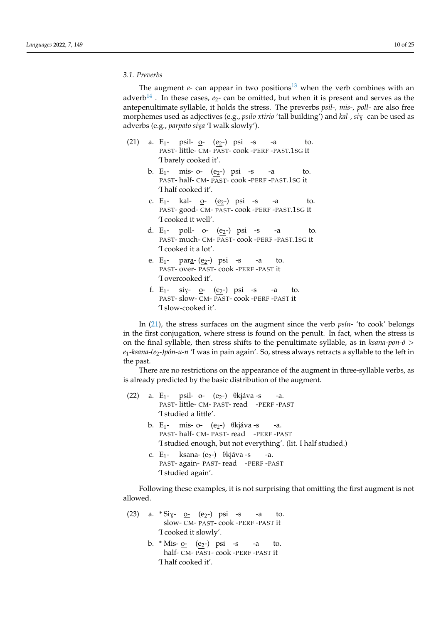#### *3.1. Preverbs*

<span id="page-9-2"></span><span id="page-9-1"></span>The augment  $e$ - can appear in two positions<sup>[13](#page-22-12)</sup> when the verb combines with an adverb<sup>[14](#page-22-13)</sup>. In these cases,  $e_2$ - can be omitted, but when it is present and serves as the antepenultimate syllable, it holds the stress. The preverbs *psil-, mis-, poll-* are also free morphemes used as adjectives (e.g., *psilo xtirio* 'tall building') and *kal-*, *si*y- can be used as adverbs (e.g., *parpato siya* 'I walk slowly').

- <span id="page-9-0"></span>(21) a.  $E_1$ - psil- <u>o</u>- ( $e_2$ -) psi -s PAST-little-CM- PAST-cook -PERF -PAST.1SG it -a to. 'I barely cooked it'.
	- b. E<sub>1</sub>- mis- <u>o</u>- (e<sub>2</sub>-) psi -s PAST-half-CM- PAST-cook -PERF -PAST.1SG it -a to. 'I half cooked it'.
	- c. E<sub>1</sub>- kal- <u>o</u>- (<u>e<sub>2</sub></u>-) psi -s PAST-good-CM- PAST-cook -PERF -PAST.1SG it -a to. 'I cooked it well'.
	- d. E<sub>1</sub>- poll- <u>o</u>- (<u>e<sub>2</sub></u>-) psi -s PAST-much-CM- PAST-cook -PERF -PAST.1SG it -a to. 'I cooked it a lot'.
	- e. E<sub>1</sub>- par<u>a</u>-(e<sub>2</sub>-) psi -s -a PAST-over- PAST-cook -PERF -PAST it to. 'I overcooked it'.
	- f. E<sub>1</sub>- siy- <u>o</u>- (e<sub>2</sub>-) psi -s PAST-slow-CM- PAST-cook -PERF -PAST it -a to. 'I slow-cooked it'.

In [\(21\)](#page-9-0), the stress surfaces on the augment since the verb *psín-* 'to cook' belongs in the first conjugation, where stress is found on the penult. In fact, when the stress is on the final syllable, then stress shifts to the penultimate syllable, as in *ksana-pon-ó* > *e*1*-ksana-(e*2*-)pón-u-n* 'I was in pain again'. So, stress always retracts a syllable to the left in the past.

There are no restrictions on the appearance of the augment in three-syllable verbs, as is already predicted by the basic distribution of the augment.

(22) a.  $E_1$ - psil- o- (e<sub>2</sub>-)  $\theta$ kjáva -s PAST-little-CM- PAST-read -PERF -PAST -a. 'I studied a little'. b.  $E_1$ - mis- o-  $(e_2$ -)  $\theta$ kjáva -s PAST<mark>- half-</mark> CM- PAST- read -PERF -PAST -a. 'I studied enough, but not everything'. (lit. I half studied.) c.  $E_1$ - ksana- $(e_2)$   $\theta$ kjáva -s PAST- again- PAST- read -PERF -PAST -a. 'I studied again'.

Following these examples, it is not surprising that omitting the first augment is not allowed.

(23) a.  $*$  Siy- <u>o-</u> ( $e_2$ -) psi -s slow-CM- PAST-cook -PERF -PAST it -a to. 'I cooked it slowly'. b. \* Mis- <u>o-</u> (<u>e2</u>-) psi -s -a half-CM- PAST-cook -PERF -PAST it to. 'I half cooked it'.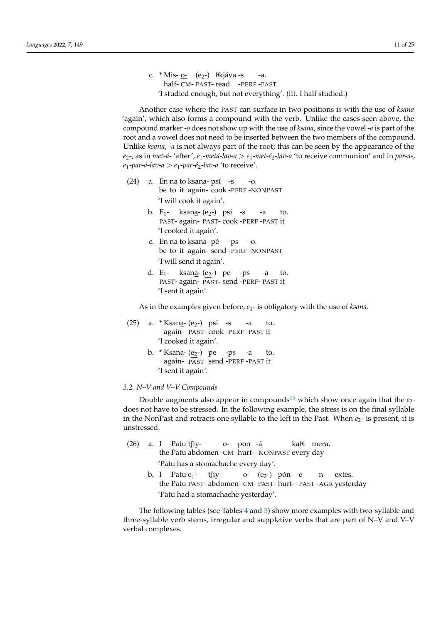c. \* Mis- <u>o-</u> (e<sub>2</sub>-) θkjáva -s half-CM- PAST-read -PERF -PAST -a. 'I studied enough, but not everything'. (lit. I half studied.)

Another case where the PAST can surface in two positions is with the use of *ksana* 'again', which also forms a compound with the verb. Unlike the cases seen above, the compound marker *-o* does not show up with the use of *ksana*, since the vowel *-a* is part of the root and a vowel does not need to be inserted between the two members of the compound. Unlike *ksana*, *-a* is not always part of the root; this can be seen by the appearance of the  $e_2$ -, as in *met-á-* 'after',  $e_1$ -metá-lav-a >  $e_1$ -met- $e_2$ -lav-a 'to receive communion' and in *par-a-*,  $e_1$ -par-á-lav-a >  $e_1$ -par-é<sub>2</sub>-lav-a 'to receive'.

- (24) a. En na to ksana-psí -s be to it again-cook -PERF -NONPAST -o. 'I will cook it again'.
	- b. E<sub>1</sub>- ksan<u>a</u>-(<u>e2</u>-) psi -s PAST-again- PAST-cook -PERF -PAST it -a to. 'I cooked it again'.
	- c. En na to ksana-pé -ps -o. be to it again-send -PERF -NONPAST 'I will send it again'.
	- d. E<sub>1</sub>- ksan<u>a</u>-(<u>e<sub>2</sub></u>-) pe -ps PAST-again- PAST-send -PERF- PAST it -a to. 'I sent it again'.

As in the examples given before, *e*1- is obligatory with the use of *ksana*.

- (25) a. \* Ksan<u>a</u>- (<u>e2</u>-) psi -s again- PAST-cook -PERF -PAST it -a to. 'I cooked it again'.
	- b. \*Ksan<u>a</u>- (<u>e2</u>-) pe -ps -a again- PAST-send -PERF -PAST it to. 'I sent it again'.

#### *3.2. N–V and V–V Compounds*

<span id="page-10-0"></span>Double augments also appear in compounds<sup>[15](#page-22-14)</sup> which show once again that the  $e_2$ does not have to be stressed. In the following example, the stress is on the final syllable in the NonPast and retracts one syllable to the left in the Past. When  $e_2$ - is present, it is unstressed.

|  | (26) a. I Patu t∫iy- o- pon -á ka $\theta$ i mera.                                                                               |
|--|----------------------------------------------------------------------------------------------------------------------------------|
|  | the Patu abdomen- CM- hurt--NONPAST every day                                                                                    |
|  | 'Patu has a stomachache every day'.                                                                                              |
|  | b. I Patu $e_1$ - t <sup>[j</sup> y- o- $(e_2$ -) pón -e -n extes.<br>the Patu PAST- abdomen- CM- PAST- hurt--PAST-AGR yesterday |
|  | 'Patu had a stomachache yesterday'.                                                                                              |

The following tables (see Tables [4](#page-11-0) and [5\)](#page-11-1) show more examples with two-syllable and three-syllable verb stems, irregular and suppletive verbs that are part of N–V and V–V verbal complexes.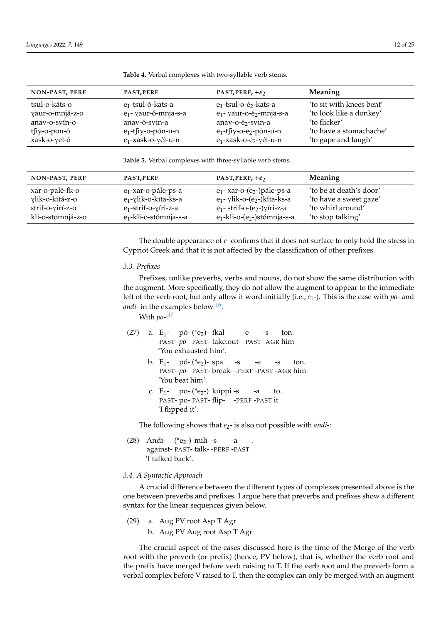| NON-PAST, PERF  | PAST, PERF                       | PAST, PERF, $+e_2$                               | <b>Meaning</b>           |
|-----------------|----------------------------------|--------------------------------------------------|--------------------------|
| tsul-o-káts-o   | e <sub>1</sub> -tsul-ó-kats-a    | $e_1$ -tsul-o- $\acute{e}_2$ -kats-a             | 'to sit with knees bent' |
| yaur-o-mnjá-z-o | e <sub>1</sub> - yaur-ó-mnja-s-a | e <sub>1</sub> - yaur-o-é <sub>2</sub> -mnja-s-a | 'to look like a donkey'  |
| anay-o-syín-o   | anav-ó-svin-a                    | anav-o-é <sub>2</sub> -svin-a                    | 'to flicker'             |
| tsiy-o-pon-ó    | $e_1$ -tsiy-o-pón-u-n            | $e_1$ -tsiy-o-e <sub>2</sub> -pón-u-n            | 'to have a stomachache'  |
| xask-o-yel-ó    | e <sub>1</sub> -xask-o-yél-u-n   | e <sub>1</sub> -xask-o-e <sub>2</sub> -yél-u-n   | 'to gape and laugh'      |

<span id="page-11-0"></span>**Table 4.** Verbal complexes with two-syllable verb stems.

<span id="page-11-1"></span>**Table 5.** Verbal complexes with three-syllable verb stems.

| <b>NON-PAST, PERF</b> | PAST, PERF                        | $PAST,PERF, +e2$                   | <b>Meaning</b>          |
|-----------------------|-----------------------------------|------------------------------------|-------------------------|
| xar-o-palé-fk-o       | e <sub>1</sub> -xar-o-pále-ps-a   | $e_1$ - xar-o- $(e_2)$ pále-ps-a   | 'to be at death's door' |
| ylik-o-kitá-z-o       | $e_1$ -ylik-o-kíta-ks-a           | $e_1$ - ylik-o- $(e_2)$ kíta-ks-a  | 'to have a sweet gaze'  |
| strif-o-yirí-z-o      | $e_1$ -strif-o-yíri-z-a           | $e_1$ - strif-o- $(e_2)$ yíri-z-a  | 'to whirl around'       |
| kli-o-stomnjá-z-o     | e <sub>1</sub> -kli-o-stómnja-s-a | $e_1$ -kli-o- $(e_2$ -)stómnja-s-a | 'to stop talking'       |

The double appearance of *e-* confirms that it does not surface to only hold the stress in Cypriot Greek and that it is not affected by the classification of other prefixes.

#### *3.3. Prefixes*

Prefixes, unlike preverbs, verbs and nouns, do not show the same distribution with the augment. More specifically, they do not allow the augment to appear to the immediate left of the verb root, but only allow it word-initially (i.e., *e*1-). This is the case with *po-* and *andi-* in the examples below <sup>[16](#page-22-15)</sup>.

<span id="page-11-3"></span><span id="page-11-2"></span>With *po-*: [17](#page-23-7)

- $(27)$  a. E<sub>1</sub>- pó- $(*e_2)$  fkal PAST-*po*- PAST-take.out- -PAST -AGR him -e -s ton. 'You exhausted him'.
	- b. E<sub>1</sub>- pó- (\*e<sub>2</sub>)- spa PAST- po- PAST- break- -PERF -PAST -AGR him -s -e  $-S$ ton. 'You beat him'.
	- c. E<sub>1</sub>- po- (\*e<sub>2</sub>-) kúppi -s PAST-po- PAST-flip- -PERF -PAST it -a to. 'I flipped it'.

The following shows that *e*2- is also not possible with *andi-*:

(28) Andi- (\*e<sub>2</sub>-) mili -s against- PAST-talk- -PERF -PAST -a . 'I talked back'.

# *3.4. A Syntactic Approach*

A crucial difference between the different types of complexes presented above is the one between preverbs and prefixes. I argue here that preverbs and prefixes show a different syntax for the linear sequences given below.

- (29) a. Aug PV root Asp T Agr
	- b. Aug PV Aug root Asp T Agr

The crucial aspect of the cases discussed here is the time of the Merge of the verb root with the preverb (or prefix) (hence, PV below), that is, whether the verb root and the prefix have merged before verb raising to T. If the verb root and the preverb form a verbal complex before V raised to T, then the complex can only be merged with an augment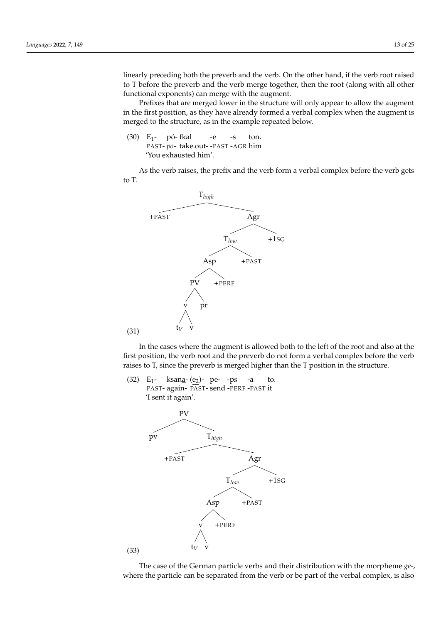linearly preceding both the preverb and the verb. On the other hand, if the verb root raised to T before the preverb and the verb merge together, then the root (along with all other functional exponents) can merge with the augment.

Prefixes that are merged lower in the structure will only appear to allow the augment in the first position, as they have already formed a verbal complex when the augment is merged to the structure, as in the example repeated below.

(30) E<sub>1</sub>- pó-fkal PAST-*po*-take.out- -PAST -AGR him -e -s ton. 'You exhausted him'.

As the verb raises, the prefix and the verb form a verbal complex before the verb gets to T.



In the cases where the augment is allowed both to the left of the root and also at the first position, the verb root and the preverb do not form a verbal complex before the verb raises to T, since the preverb is merged higher than the T position in the structure.

(32) E<sub>1</sub>- ksan<u>a</u>-(e<sub>2</sub>)- pe- -ps PAST-again- PAST-send -PERF -PAST it -a to. 'I sent it again'.



The case of the German particle verbs and their distribution with the morpheme *ge-*, where the particle can be separated from the verb or be part of the verbal complex, is also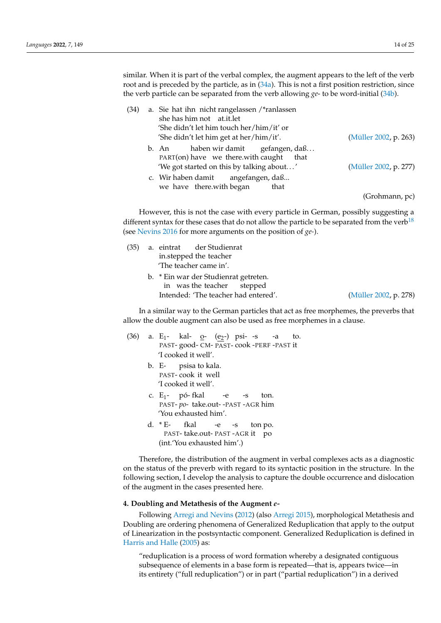<span id="page-13-1"></span><span id="page-13-0"></span> $(3)$ 

similar. When it is part of the verbal complex, the augment appears to the left of the verb root and is preceded by the particle, as in [\(34a\)](#page-13-0). This is not a first position restriction, since the verb particle can be separated from the verb allowing *ge*- to be word-initial [\(34b\)](#page-13-1).

| 4) | a. Sie hat ihn nicht rangelassen /*ranlassen                                         |                       |
|----|--------------------------------------------------------------------------------------|-----------------------|
|    | she has him not at.it.let                                                            |                       |
|    | 'She didn't let him touch her/him/it' or                                             |                       |
|    | 'She didn't let him get at her/him/it'.                                              | (Müller 2002, p. 263) |
|    | haben wir damit gefangen, daß<br>b. An<br>PART(on) have we there with caught<br>that |                       |
|    | 'We got started on this by talking about'                                            | (Müller 2002, p. 277) |
|    | c. Wir haben damit angefangen, daß<br>we have there.with began<br>that               |                       |
|    |                                                                                      | (Grohmann, pc)        |

However, this is not the case with every particle in German, possibly suggesting a different syntax for these cases that do not allow the particle to be separated from the verb<sup>[18](#page-23-8)</sup> (see [Nevins](#page-24-12) [2016](#page-24-12) for more arguments on the position of *ge-*).

|  | (35) a. eintrat der Studienrat        |  |
|--|---------------------------------------|--|
|  | in.stepped the teacher                |  |
|  | 'The teacher came in'.                |  |
|  | b. * Ein war der Studienrat getreten. |  |
|  | in was the teacher stepped            |  |

Intended: 'The teacher had entered'. [\(Müller](#page-24-11) [2002,](#page-24-11) p. 278)

<span id="page-13-2"></span>

In a similar way to the German particles that act as free morphemes, the preverbs that allow the double augment can also be used as free morphemes in a clause.

|  |                      |  | (36) a. $E_1$ - kal- $Q$ - (e <sub>2</sub> -) psi--s -a to. |  |
|--|----------------------|--|-------------------------------------------------------------|--|
|  |                      |  | PAST-good-CM-PAST-cook-PERF-PAST it                         |  |
|  | 'I cooked it well'.  |  |                                                             |  |
|  | b. E- psisa to kala. |  |                                                             |  |
|  | PAST-cook it well    |  |                                                             |  |
|  | 'I cooked it well'.  |  |                                                             |  |
|  |                      |  | c. $E_1$ - pó-fkal -e -s ton.                               |  |
|  |                      |  | PAST-po- take.out--PAST-AGR him                             |  |
|  | 'You exhausted him'. |  |                                                             |  |
|  | d. * E- fkal -e -s   |  | ton po.                                                     |  |
|  |                      |  |                                                             |  |

PAST-take.out- PAST -AGR it po (int.'You exhausted him'.)

Therefore, the distribution of the augment in verbal complexes acts as a diagnostic on the status of the preverb with regard to its syntactic position in the structure. In the following section, I develop the analysis to capture the double occurrence and dislocation of the augment in the cases presented here.

#### **4. Doubling and Metathesis of the Augment** *e-*

Following [Arregi and Nevins](#page-23-9) [\(2012\)](#page-23-9) (also [Arregi](#page-23-10) [2015\)](#page-23-10), morphological Metathesis and Doubling are ordering phenomena of Generalized Reduplication that apply to the output of Linearization in the postsyntactic component. Generalized Reduplication is defined in [Harris and Halle](#page-23-11) [\(2005\)](#page-23-11) as:

"reduplication is a process of word formation whereby a designated contiguous subsequence of elements in a base form is repeated—that is, appears twice—in its entirety ("full reduplication") or in part ("partial reduplication") in a derived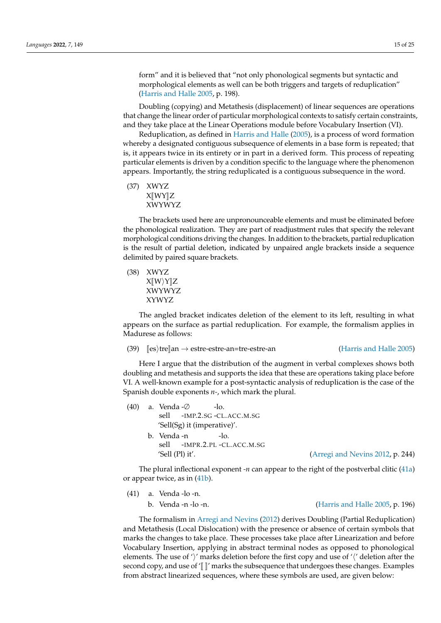form" and it is believed that "not only phonological segments but syntactic and morphological elements as well can be both triggers and targets of reduplication" [\(Harris and Halle](#page-23-11) [2005,](#page-23-11) p. 198).

Doubling (copying) and Metathesis (displacement) of linear sequences are operations that change the linear order of particular morphological contexts to satisfy certain constraints, and they take place at the Linear Operations module before Vocabulary Insertion (VI).

Reduplication, as defined in [Harris and Halle](#page-23-11) [\(2005\)](#page-23-11), is a process of word formation whereby a designated contiguous subsequence of elements in a base form is repeated; that is, it appears twice in its entirety or in part in a derived form. This process of repeating particular elements is driven by a condition specific to the language where the phenomenon appears. Importantly, the string reduplicated is a contiguous subsequence in the word.

```
(37) XWYZ
    X[[WY]]ZXWYWYZ
```
The brackets used here are unpronounceable elements and must be eliminated before the phonological realization. They are part of readjustment rules that specify the relevant morphological conditions driving the changes. In addition to the brackets, partial reduplication is the result of partial deletion, indicated by unpaired angle brackets inside a sequence delimited by paired square brackets.

(38) XWYZ  $X\llbracket W \rangle Y \llbracket Z$ XWYWYZ XYWYZ

The angled bracket indicates deletion of the element to its left, resulting in what appears on the surface as partial reduplication. For example, the formalism applies in Madurese as follows:

(39)  $\text{[es\,tre]an} \rightarrow \text{estre-estre-an=tree-estre-an}$  [\(Harris and Halle](#page-23-11) [2005\)](#page-23-11)

Here I argue that the distribution of the augment in verbal complexes shows both doubling and metathesis and supports the idea that these are operations taking place before VI. A well-known example for a post-syntactic analysis of reduplication is the case of the Spanish double exponents *n-*, which mark the plural.

|  | (40) a. Venda -∅  |                             | $-10$                       |
|--|-------------------|-----------------------------|-----------------------------|
|  |                   |                             | sell -IMP.2.SG -CL.ACC.M.SG |
|  |                   | 'Sell(Sg) it (imperative)'. |                             |
|  | b. Venda-n        |                             | $-10$ .                     |
|  |                   |                             | sell -IMPR.2.PL-CL.ACC.M.SG |
|  | 'Sell $(Pl)$ it'. |                             |                             |

[\(Arregi and Nevins](#page-23-9) [2012,](#page-23-9) p. 244)

The plural inflectional exponent *-n* can appear to the right of the postverbal clitic [\(41a\)](#page-14-0) or appear twice, as in [\(41b\)](#page-14-1).

<span id="page-14-1"></span><span id="page-14-0"></span>(41) a. Venda -lo -n.

b. Venda -n -lo -n. [\(Harris and Halle](#page-23-11) [2005,](#page-23-11) p. 196)

The formalism in [Arregi and Nevins](#page-23-9) [\(2012\)](#page-23-9) derives Doubling (Partial Reduplication) and Metathesis (Local Dislocation) with the presence or absence of certain symbols that marks the changes to take place. These processes take place after Linearization and before Vocabulary Insertion, applying in abstract terminal nodes as opposed to phonological elements. The use of  $\gamma'$  marks deletion before the first copy and use of  $\gamma'$  deletion after the second copy, and use of  $\int \int \int$  marks the subsequence that undergoes these changes. Examples from abstract linearized sequences, where these symbols are used, are given below: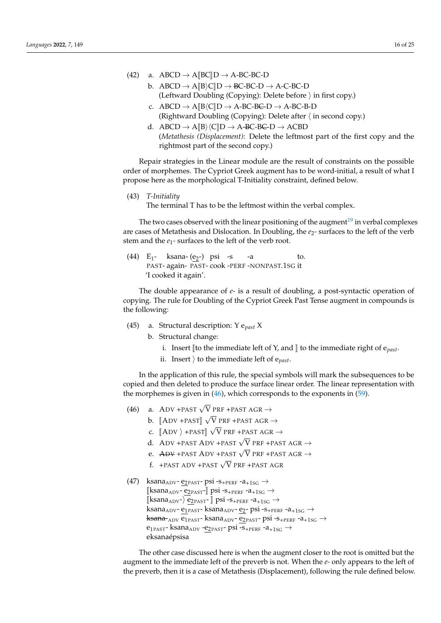- (42) a.  $ABCD \rightarrow A[BC]D \rightarrow A-BC-BC-D$ 
	- b.  $ABCD \rightarrow AIB \subset \mathbb{ID} \rightarrow BC-BC-D \rightarrow A-C-BC-D$ (Leftward Doubling (Copying): Delete before  $\rangle$  in first copy.)
	- c.  $ABCD \rightarrow A\llbracket B\llbracket CD \rightarrow A\text{-}BC\text{-}B\rightarrow A\text{-}BC\text{-}B\text{-}D$ (Rightward Doubling (Copying): Delete after  $\langle$  in second copy.)
	- d.  $ABCD \rightarrow A[B \setminus C]D \rightarrow A-BC-BC-D \rightarrow ACBD$ (*Metathesis (Displacement)*: Delete the leftmost part of the first copy and the rightmost part of the second copy.)

Repair strategies in the Linear module are the result of constraints on the possible order of morphemes. The Cypriot Greek augment has to be word-initial, a result of what I propose here as the morphological T-Initiality constraint, defined below.

(43) *T-Initiality*

<span id="page-15-1"></span>The terminal T has to be the leftmost within the verbal complex.

The two cases observed with the linear positioning of the augment<sup>[19](#page-23-12)</sup> in verbal complexes are cases of Metathesis and Dislocation. In Doubling, the  $e_2$ - surfaces to the left of the verb stem and the  $e_1$ - surfaces to the left of the verb root.

(44) E<sub>1</sub>- ksana-(<u>e<sub>2</sub></u>-) psi -s PAST-again- PAST-cook -PERF -NONPAST.1SG it -a to. 'I cooked it again'.

The double appearance of *e-* is a result of doubling, a post-syntactic operation of copying. The rule for Doubling of the Cypriot Greek Past Tense augment in compounds is the following:

- (45) a. Structural description: Y e*past* X
	- b. Structural change:
		- i. Insert  $\lbrack\! \lbrack$  to the immediate left of Y, and  $\lbrack\! \lbrack$  to the immediate right of  $e_{past}$ .
		- ii. Insert  $\rangle$  to the immediate left of e<sub>past</sub>.

In the application of this rule, the special symbols will mark the subsequences to be copied and then deleted to produce the surface linear order. The linear representation with the morphemes is given in  $(46)$ , which corresponds to the exponents in  $(59)$ .

- <span id="page-15-0"></span>(46) a. ADV +PAST  $\sqrt{V}$  PRF +PAST AGR  $\rightarrow$ √
	- $\texttt{b.}$   $\begin{bmatrix} \texttt{ADV} + \texttt{PAST} \end{bmatrix}$  $\sqrt{\text{V}}$  PRF +PAST AGR  $\rightarrow$ 
		- c.  $\llbracket \text{ADV} \rangle$  +PAST $\rrbracket$   $\sqrt{\text{V}}$  PRF +PAST AGR  $\rightarrow$
		- d. ADV +PAST ADV +PAST  $\sqrt{V}$  PRF +PAST AGR  $\rightarrow$
		- e.  $APV$  +PAST ADV +PAST  $\sqrt{V}$  PRF +PAST AGR  $\rightarrow$
	- $f.$  +PAST ADV +PAST  $\sqrt{V}$  PRF +PAST AGR
- (47) ksana<sub>ADV</sub>- e<sub>2PAST</sub>- psi -s<sub>+PERF</sub> -a<sub>+1SG</sub>  $\rightarrow$  $\left[\text{ksana}_{\text{ADV}}\text{-}\frac{\text{e}_{\text{2PAST}}}{\text{-}\text{B}}\right]$  psi -s<sub>+PERF</sub> -a<sub>+1SG</sub> →  $\langle$  [ksana<sub>ADV</sub>- $\rangle$  e<sub>2PAST</sub>- ] psi -s<sub>+PERF</sub> -a<sub>+1SG</sub>  $\rightarrow$ ksana<sub>ADV</sub>- e<sub>1PAST</sub>- ksana<sub>ADV</sub>- e<sub>2</sub>- psi -s<sub>+PERF</sub> -a<sub>+1SG</sub>  $\rightarrow$ ksana-<sub>ADV</sub> e<sub>1PAST</sub>- ksana<sub>ADV</sub>- e<sub>2PAST</sub>- psi -s<sub>+PERF</sub> -a<sub>+1SG</sub>  $\rightarrow$ e<sub>1PAST</sub>- ksana<sub>ADV</sub> -e<sub>2PAST</sub>- psi -s<sub>+PERF</sub> -a<sub>+1SG</sub>  $\rightarrow$ eksanaépsisa

The other case discussed here is when the augment closer to the root is omitted but the augment to the immediate left of the preverb is not. When the *e-* only appears to the left of the preverb, then it is a case of Metathesis (Displacement), following the rule defined below.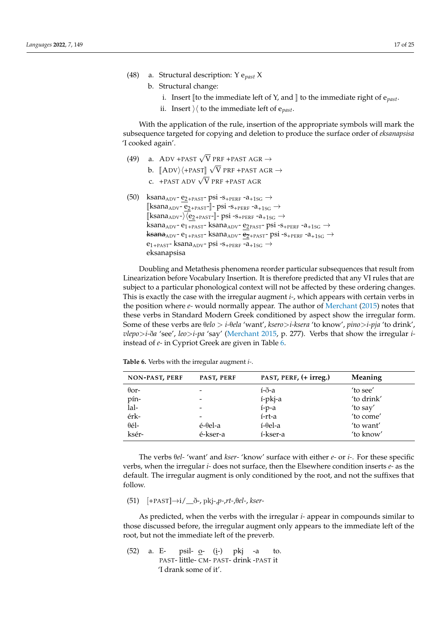- (48) a. Structural description: Y e*past* X
	- b. Structural change:
		- i. Insert  $\lbrack$  to the immediate left of Y, and  $\lbrack$  to the immediate right of e<sub>past</sub>.
		- ii. Insert  $\rangle$  ( to the immediate left of e<sub>past</sub>.

With the application of the rule, insertion of the appropriate symbols will mark the subsequence targeted for copying and deletion to produce the surface order of *eksanapsisa* 'I cooked again'.

- (49) a. ADV +PAST  $\sqrt{V}$  PRF +PAST AGR  $\rightarrow$ √
	- b.  $\begin{bmatrix} \text{ADV} \end{bmatrix}$  + PAST V PRF +PAST AGR  $\rightarrow$ 
		- c.  $+$ PAST ADV  $\sqrt{V}$  PRF +PAST AGR
- (50) ksana<sub>ADV</sub>- e<sub>2+PAST</sub>- psi -s<sub>+PERF</sub> -a<sub>+1SG</sub>  $\rightarrow$  $[\![\text{ksana}_{\text{ADV}}\text{-}e_{\text{2+PAST}}\text{-}]\!]$ - psi -s<sub>+PERF</sub> -a<sub>+1SG</sub> →  $\langle$ ksana<sub>ADV</sub>- $\rangle$  $\langle$ e<sub>2+PAST</sub>-]]- psi -s<sub>+PERF</sub> -a<sub>+1SG</sub>  $\rightarrow$ ksana<sub>ADV</sub>- e<sub>1+PAST</sub>- ksana<sub>ADV</sub>- e<sub>2PAST</sub>- psi -s<sub>+PERF</sub> -a<sub>+1SG</sub>  $\rightarrow$  $\frac{1}{1}$ ksana<sub>ADV</sub>- e<sub>1+PAST</sub>- ksana<sub>ADV</sub>- e<sub>2+PAST</sub>- psi -s<sub>+PERF</sub> -a<sub>+1SG</sub>  $\rightarrow$  $e_{1+PAST}$ - ksana<sub>ADV</sub>- psi -s<sub>+PERF</sub> -a<sub>+1SG</sub>  $\rightarrow$ eksanapsisa

Doubling and Metathesis phenomena reorder particular subsequences that result from Linearization before Vocabulary Insertion. It is therefore predicted that any VI rules that are subject to a particular phonological context will not be affected by these ordering changes. This is exactly the case with the irregular augment *i-*, which appears with certain verbs in the position where *e-* would normally appear. The author of [Merchant](#page-24-0) [\(2015\)](#page-24-0) notes that these verbs in Standard Modern Greek conditioned by aspect show the irregular form. Some of these verbs are  $\theta$ *elo* > *i*- $\theta$ *ela* 'want', *ksero*>*i*-*ksera* 'to know', *pino*>*i-pja* 'to drink', *vlepo*>*i-*D*a* 'see', *leo*>*i-pa* 'say' [\(Merchant](#page-24-0) [2015,](#page-24-0) p. 277). Verbs that show the irregular *i*instead of *e-* in Cypriot Greek are given in Table [6.](#page-16-0)

| NON-PAST, PERF | PAST, PERF          | PAST, PERF, (+ irreg.) | <b>Meaning</b> |
|----------------|---------------------|------------------------|----------------|
| $\theta$ or-   | -                   | í-ð-a                  | 'to see'       |
| pín-           | -                   | í-pkj-a                | 'to drink'     |
| lal-           | -                   | í-p-a                  | 'to say'       |
| érk-           | -                   | í-rt-a                 | 'to come'      |
| $\theta$ él-   | $e$ - $\theta$ el-a | $i$ - $\theta$ el-a    | 'to want'      |
| ksér-          | é-kser-a            | í-kser-a               | 'to know'      |

<span id="page-16-0"></span>**Table 6.** Verbs with the irregular augment *i-*.

The verbs  $\theta$ *el-'want'* and *kser-'know'* surface with either *e*- or *i*-. For these specific verbs, when the irregular *i-* does not surface, then the Elsewhere condition inserts *e-* as the default. The irregular augment is only conditioned by the root, and not the suffixes that follow.

<span id="page-16-1"></span> $(51)$  [+PAST] $\rightarrow i/\_\odot$  $\rightarrow$ , pkj-,p-,rt-, $\theta$ el-, *kser*-

As predicted, when the verbs with the irregular *i-* appear in compounds similar to those discussed before, the irregular augment only appears to the immediate left of the root, but not the immediate left of the preverb.

(52) a. E-PAST-little-CM- PAST-drink -PAST it psil- <u>o</u>- (<u>i</u>-) pkj -a to. 'I drank some of it'.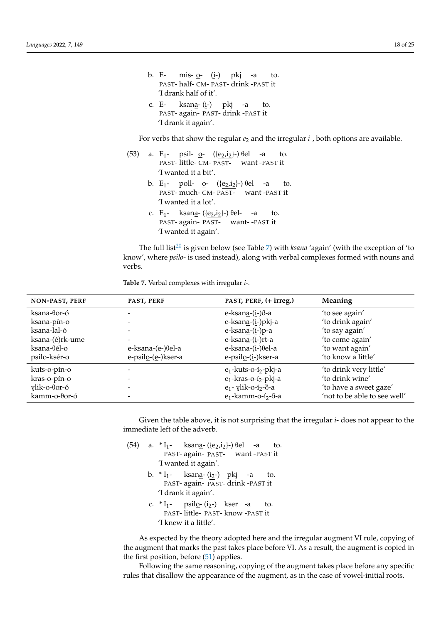b. E-PAST-half-CM- PAST-drink -PAST it mis- <u>o</u>- (<u>i</u>-) pkj -a to. 'I drank half of it'. c. E-PAST-again- PAST-drink -PAST it ksan<u>a</u>- (<u>i</u>-) pkj -a to. 'I drank it again'.

For verbs that show the regular *e*<sup>2</sup> and the irregular *i-*, both options are available.

- (53) a. E<sub>1</sub>- psil- <u>o</u>- ({ $e_2$ ,*i*<sub>2</sub>}-)  $\theta$ el -a PAST-little-CM- PAST-want -PAST it to. 'I wanted it a bit'.
	- b. E<sub>1</sub>- poll- <u>o</u>- ({e<sub>2</sub>,i<sub>2</sub>}-) θel -a PAST-much-CM- PAST-want -PAST it to. 'I wanted it a lot'.
	- c. E<sub>1</sub>- ksan<u>a</u>- ({<u>e<sub>2</sub>,i<sub>2</sub></u>}-) θel- -a PAST-again- PAST-want- -PAST it to. 'I wanted it again'.

<span id="page-17-1"></span>The full list<sup>[20](#page-23-13)</sup> is given below (see Table [7\)](#page-17-0) with *ksana* 'again' (with the exception of 'to know', where *psilo-* is used instead), along with verbal complexes formed with nouns and verbs.

<span id="page-17-0"></span>**Table 7.** Verbal complexes with irregular *i-*.

| <b>NON-PAST, PERF</b>                                                                       | <b>PAST, PERF</b>                       | PAST, PERF, (+ irreg.)                                                                                                                                | Meaning                                                                                                          |
|---------------------------------------------------------------------------------------------|-----------------------------------------|-------------------------------------------------------------------------------------------------------------------------------------------------------|------------------------------------------------------------------------------------------------------------------|
| ksana-θor-ó<br>ksana-pín-o<br>ksana-lal-ó<br>ksana-(é)rk-ume<br>ksana-θél-o<br>psilo-ksér-o | e-ksana-(e-)θel-a<br>e-psilo-(e-)kser-a | e-ksana-(i-)ð-a<br>e-ksana-(i-)pkj-a<br>e-ksana-(i-)p-a<br>e-ksana-(i-)rt-a<br>e-ksana-(i-)θel-a<br>e-psilo-(i-)kser-a                                | 'to see again'<br>'to drink again'<br>'to say again'<br>'to come again'<br>'to want again'<br>'to know a little' |
| kuts-o-pín-o<br>kras-o-pín-o<br>ylik-o-θor-ó<br>kamm-o-θor-ó                                |                                         | $e_1$ -kuts-o-í <sub>2</sub> -pkj-a<br>$e_1$ -kras-o-í <sub>2</sub> -pkj-a<br>$e_1$ - ylik-o-í <sub>2</sub> -ð-a<br>$e_1$ -kamm-o-í <sub>2</sub> -ð-a | 'to drink very little'<br>'to drink wine'<br>'to have a sweet gaze'<br>'not to be able to see well'              |

Given the table above, it is not surprising that the irregular *i-* does not appear to the immediate left of the adverb.

(54) a.  $*I_1$ - ksan<u>a</u>- ({ $e_2,i_2$ }-)  $\theta$ el -a PAST-again- PAST-want -PAST it to. 'I wanted it again'. b.  $*I_1$ -PAST-again- PAST-drink -PAST it ksan<u>a</u>- (<u>i2</u>-) pkj -a to. 'I drank it again'. c. \* I<sub>1</sub>- psil<u>o</u>- (<u>i</u><sub>2</sub>-) kser -a PAST-little- PAST-know -PAST it to.

'I knew it a little'.

As expected by the theory adopted here and the irregular augment VI rule, copying of the augment that marks the past takes place before VI. As a result, the augment is copied in the first position, before  $(51)$  applies.

Following the same reasoning, copying of the augment takes place before any specific rules that disallow the appearance of the augment, as in the case of vowel-initial roots.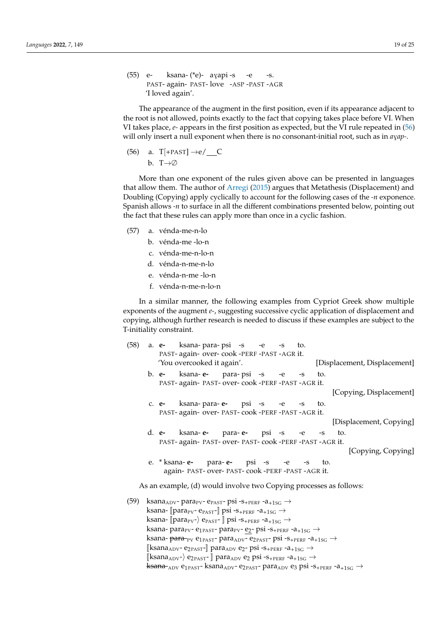(55) e-PAST-again- PAST-love -ASP -PAST -AGR ksana- (\*e)-) ayapi -s -e -s. 'I loved again'.

The appearance of the augment in the first position, even if its appearance adjacent to the root is not allowed, points exactly to the fact that copying takes place before VI. When VI takes place, *e-* appears in the first position as expected, but the VI rule repeated in [\(56\)](#page-18-1) will only insert a null exponent when there is no consonant-initial root, such as in  $a\gamma ap$ .

<span id="page-18-1"></span>(56) a. 
$$
T[+PAST] \rightarrow e/\_\_\text{C}
$$
  
b.  $T \rightarrow \emptyset$ 

More than one exponent of the rules given above can be presented in languages that allow them. The author of [Arregi](#page-23-10) [\(2015\)](#page-23-10) argues that Metathesis (Displacement) and Doubling (Copying) apply cyclically to account for the following cases of the *-n* exponence. Spanish allows *-n* to surface in all the different combinations presented below, pointing out the fact that these rules can apply more than once in a cyclic fashion.

- (57) a. vénda-me-n-lo
	- b. vénda-me -lo-n
	- c. vénda-me-n-lo-n
	- d. vénda-n-me-n-lo
	- e. vénda-n-me -lo-n
	- f. vénda-n-me-n-lo-n

In a similar manner, the following examples from Cypriot Greek show multiple exponents of the augment *e-*, suggesting successive cyclic application of displacement and copying, although further research is needed to discuss if these examples are subject to the T-initiality constraint.

| (58) |                | a. e- ksana-para-psi -s -e -s to.                        |  |                      |  |     |  |                         |                              |
|------|----------------|----------------------------------------------------------|--|----------------------|--|-----|--|-------------------------|------------------------------|
|      |                | PAST- again- over- cook -PERF -PAST -AGR it.             |  |                      |  |     |  |                         |                              |
|      |                | 'You overcooked it again'.                               |  |                      |  |     |  |                         | [Displacement, Displacement] |
|      |                | b. e- ksana-e- para-psi-s -e -s                          |  |                      |  | to. |  |                         |                              |
|      |                | PAST- again- PAST- over- cook -PERF -PAST -AGR it.       |  |                      |  |     |  |                         |                              |
|      |                |                                                          |  |                      |  |     |  | [Copying, Displacement] |                              |
|      |                | c. e- ksana-para-e- psi -s -e -s                         |  |                      |  | to. |  |                         |                              |
|      |                | PAST- again- over- PAST- cook -PERF -PAST -AGR it.       |  |                      |  |     |  |                         |                              |
|      |                |                                                          |  |                      |  |     |  | [Displacement, Copying] |                              |
|      |                | d. e- ksana-e- para-e- psi -s -e -s to.                  |  |                      |  |     |  |                         |                              |
|      |                | PAST- again- PAST- over- PAST- cook -PERF -PAST -AGR it. |  |                      |  |     |  |                         |                              |
|      |                |                                                          |  |                      |  |     |  | [Copying, Copying]      |                              |
|      | e. * ksana- e- | again- PAST- over- PAST- cook -PERF -PAST -AGR it.       |  | para-e- psi -s -e -s |  | to. |  |                         |                              |

As an example, (d) would involve two Copying processes as follows:

<span id="page-18-0"></span>(59) ksana<sub>ADV</sub>- para<sub>PV</sub>- e<sub>PAST</sub>- psi -s<sub>+PERF</sub> -a<sub>+1SG</sub>  $\rightarrow$ ksana-  $[\![\text{para}_{\text{PV}}\text{-}e_{\text{PAST}}]\!]$ psi -s<sub>+PERF</sub> -a<sub>+1sG</sub>  $\rightarrow$ ksana-  $\langle \text{para}_{\text{PV}} \rangle$  e<sub>PAST</sub>-  $\langle \text{psi-s}_{\text{+PERF}} \cdot a_{+1SG} \rangle$ ksana- para<sub>PV</sub>- e<sub>1PAST</sub>- para<sub>PV</sub>- e<sub>2</sub>- psi -s<sub>+PERF</sub> -a<sub>+1SG</sub>  $\rightarrow$ ksana- <del>para-</del><sub>PV</sub> e<sub>1PAST</sub>- para<sub>ADV</sub>- e<sub>2PAST</sub>- psi -s<sub>+PERF</sub> -a<sub>+1SG</sub> → [ksana<sub>ADV</sub>- e<sub>2PAST</sub>-] para<sub>ADV</sub> e<sub>2</sub>- psi -s<sub>+PERF</sub> -a<sub>+1SG</sub>  $\rightarrow$  $\ket{\text{ksana}_{\text{ADV}}}$  e<sub>2PAST</sub>-  $\ket{\text{para}_{\text{ADV}}}$  e<sub>2</sub> psi -s<sub>+PERF</sub> -a<sub>+1SG</sub>  $\rightarrow$ <del>ksana-<sub>ADV</sub> e<sub>1PAST</sub>- ksana<sub>ADV</sub>- e<sub>2PAST</sub>- para<sub>ADV</sub> e<sub>3</sub> psi -s<sub>+PERF</sub> -a<sub>+1SG</sub>  $\rightarrow$ </del>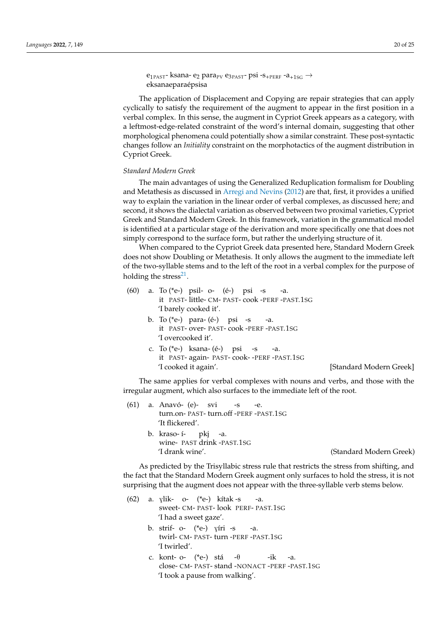e<sub>1PAST</sub>- ksana- e<sub>2</sub> para<sub>PV</sub> e<sub>3PAST</sub>- psi -s<sub>+PERF</sub> -a<sub>+1SG</sub>  $\rightarrow$ eksanaeparaépsisa

The application of Displacement and Copying are repair strategies that can apply cyclically to satisfy the requirement of the augment to appear in the first position in a verbal complex. In this sense, the augment in Cypriot Greek appears as a category, with a leftmost-edge-related constraint of the word's internal domain, suggesting that other morphological phenomena could potentially show a similar constraint. These post-syntactic changes follow an *Initiality* constraint on the morphotactics of the augment distribution in Cypriot Greek.

#### *Standard Modern Greek*

The main advantages of using the Generalized Reduplication formalism for Doubling and Metathesis as discussed in [Arregi and Nevins](#page-23-9) [\(2012\)](#page-23-9) are that, first, it provides a unified way to explain the variation in the linear order of verbal complexes, as discussed here; and second, it shows the dialectal variation as observed between two proximal varieties, Cypriot Greek and Standard Modern Greek. In this framework, variation in the grammatical model is identified at a particular stage of the derivation and more specifically one that does not simply correspond to the surface form, but rather the underlying structure of it.

When compared to the Cypriot Greek data presented here, Standard Modern Greek does not show Doubling or Metathesis. It only allows the augment to the immediate left of the two-syllable stems and to the left of the root in a verbal complex for the purpose of holding the stress $^{21}$  $^{21}$  $^{21}$ .

<span id="page-19-0"></span>

| (60) | a. To (*e-) psil- o- (é-) psi -s -a.      |                         |
|------|-------------------------------------------|-------------------------|
|      | it PAST-little-CM-PAST-cook-PERF-PAST.1SG |                         |
|      | 'I barely cooked it'.                     |                         |
|      | b. To (*e-) para- $($ é-) psi -s -a.      |                         |
|      | it PAST- over- PAST- cook-PERF-PAST.1SG   |                         |
|      | 'I overcooked it'.                        |                         |
|      | c. To $(*e-)$ ksana- $(e-)$ psi -s -a.    |                         |
|      | it PAST- again- PAST- cook--PERF-PAST.1SG |                         |
|      | 'I cooked it again'.                      | [Standard Modern Greek] |

The same applies for verbal complexes with nouns and verbs, and those with the irregular augment, which also surfaces to the immediate left of the root.

(61) a. Anavó-(e)- svi turn.on- PAST-turn.off -PERF -PAST.1SG -s  $-\rho$ . 'It flickered'. b. kraso-íwine-PAST drink -PAST.1SG pkj -a. 'I drank wine'. (Standard Modern Greek)

As predicted by the Trisyllabic stress rule that restricts the stress from shifting, and the fact that the Standard Modern Greek augment only surfaces to hold the stress, it is not surprising that the augment does not appear with the three-syllable verb stems below.

| (62) |                                | a. <sub>Y</sub> lik- o- (*e-) kítak-s<br>-a.<br>sweet- CM- PAST- look PERF- PAST.1SG |  |  |  |  |
|------|--------------------------------|--------------------------------------------------------------------------------------|--|--|--|--|
|      |                                |                                                                                      |  |  |  |  |
|      |                                | 'I had a sweet gaze'.                                                                |  |  |  |  |
|      |                                | b. strif- $o-$ (*e-) $\gamma$ iri -s -a.                                             |  |  |  |  |
|      |                                | twirl- CM- PAST- turn -PERF -PAST.1SG                                                |  |  |  |  |
|      |                                | 'I twirled'.                                                                         |  |  |  |  |
|      |                                | c. kont- o- (*e-) stá - $\theta$<br>-ik -a.                                          |  |  |  |  |
|      |                                | close- CM- PAST- stand -NONACT -PERF -PAST.1SG                                       |  |  |  |  |
|      | 'I took a pause from walking'. |                                                                                      |  |  |  |  |
|      |                                |                                                                                      |  |  |  |  |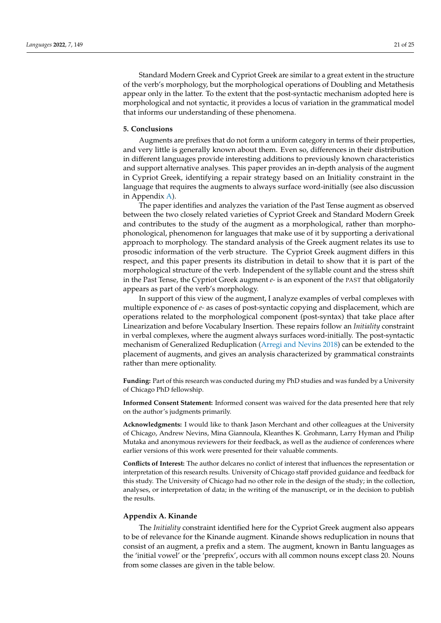Standard Modern Greek and Cypriot Greek are similar to a great extent in the structure of the verb's morphology, but the morphological operations of Doubling and Metathesis appear only in the latter. To the extent that the post-syntactic mechanism adopted here is morphological and not syntactic, it provides a locus of variation in the grammatical model that informs our understanding of these phenomena.

#### **5. Conclusions**

Augments are prefixes that do not form a uniform category in terms of their properties, and very little is generally known about them. Even so, differences in their distribution in different languages provide interesting additions to previously known characteristics and support alternative analyses. This paper provides an in-depth analysis of the augment in Cypriot Greek, identifying a repair strategy based on an Initiality constraint in the language that requires the augments to always surface word-initially (see also discussion in Appendix [A\)](#page-20-0).

The paper identifies and analyzes the variation of the Past Tense augment as observed between the two closely related varieties of Cypriot Greek and Standard Modern Greek and contributes to the study of the augment as a morphological, rather than morphophonological, phenomenon for languages that make use of it by supporting a derivational approach to morphology. The standard analysis of the Greek augment relates its use to prosodic information of the verb structure. The Cypriot Greek augment differs in this respect, and this paper presents its distribution in detail to show that it is part of the morphological structure of the verb. Independent of the syllable count and the stress shift in the Past Tense, the Cypriot Greek augment *e-* is an exponent of the PAST that obligatorily appears as part of the verb's morphology.

In support of this view of the augment, I analyze examples of verbal complexes with multiple exponence of *e-* as cases of post-syntactic copying and displacement, which are operations related to the morphological component (post-syntax) that take place after Linearization and before Vocabulary Insertion. These repairs follow an *Initiality* constraint in verbal complexes, where the augment always surfaces word-initially. The post-syntactic mechanism of Generalized Reduplication [\(Arregi and Nevins](#page-23-0) [2018\)](#page-23-0) can be extended to the placement of augments, and gives an analysis characterized by grammatical constraints rather than mere optionality.

**Funding:** Part of this research was conducted during my PhD studies and was funded by a University of Chicago PhD fellowship.

**Informed Consent Statement:** Informed consent was waived for the data presented here that rely on the author's judgments primarily.

**Acknowledgments:** I would like to thank Jason Merchant and other colleagues at the University of Chicago, Andrew Nevins, Mina Giannoula, Kleanthes K. Grohmann, Larry Hyman and Philip Mutaka and anonymous reviewers for their feedback, as well as the audience of conferences where earlier versions of this work were presented for their valuable comments.

**Conflicts of Interest:** The author delcares no conlict of interest that influences the representation or interpretation of this research results. University of Chicago staff provided guidance and feedback for this study. The University of Chicago had no other role in the design of the study; in the collection, analyses, or interpretation of data; in the writing of the manuscript, or in the decision to publish the results.

#### <span id="page-20-0"></span>**Appendix A. Kinande**

The *Initiality* constraint identified here for the Cypriot Greek augment also appears to be of relevance for the Kinande augment. Kinande shows reduplication in nouns that consist of an augment, a prefix and a stem. The augment, known in Bantu languages as the 'initial vowel' or the 'preprefix', occurs with all common nouns except class 20. Nouns from some classes are given in the table below.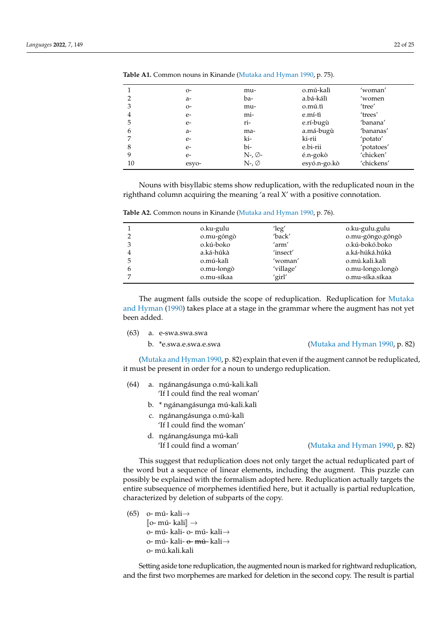|    | $O-$  | mu-              | o.mú-kalì    | 'woman'    |
|----|-------|------------------|--------------|------------|
| 2  | $a-$  | ba-              | a.bá-kálì    | 'women     |
| 3  | $O-$  | mu-              | o.mú.tì      | 'tree'     |
| 4  | $e-$  | mi-              | e.mí-tì      | 'trees'    |
| 5  | $e-$  | ri-              | e.rí-bugù    | 'banana'   |
| 6  | $a-$  | ma-              | a.má-bugù    | 'bananas'  |
| 7  | $e-$  | ki-              | ki-rii       | 'potato'   |
| 8  | $e-$  | bi-              | e.bi-rii     | 'potatoes' |
| 9  | $e-$  | $N-$ , $\oslash$ | é.n-gokò     | 'chicken'  |
| 10 | esyo- | $N-$ , $\oslash$ | esyó.n-go.kò | 'chickens' |
|    |       |                  |              |            |

**Table A1.** Common nouns in Kinande [\(Mutaka and Hyman](#page-24-13) [1990,](#page-24-13) p. 75).

Nouns with bisyllabic stems show reduplication, with the reduplicated noun in the righthand column acquiring the meaning 'a real X' with a positive connotation.

**Table A2.** Common nouns in Kinande [\(Mutaka and Hyman](#page-24-13) [1990,](#page-24-13) p. 76).

|   | o.ku-gulu  | 'leg'     | o.ku-gulu.gulu   |
|---|------------|-----------|------------------|
|   | o.mu-góngò | 'back'    | o.mu-góngo.góngò |
| З | o.kú-boko  | ʻarm'     | o.kú-bokó.boko   |
|   | a.ká-húkà  | 'insect'  | a.ká-húká.húkà   |
| 5 | o.mú-kalì  | 'woman'   | o.mú.kali.kalì   |
| h | o.mu-longò | 'village' | o.mu-longo.longò |
|   | o.mu-síkaa | 'girl'    | o.mu-síka.síkaa  |

The augment falls outside the scope of reduplication. Reduplication for [Mutaka](#page-24-13) [and Hyman](#page-24-13) [\(1990\)](#page-24-13) takes place at a stage in the grammar where the augment has not yet been added.

- (63) a. e-swa.swa.swa
	-

b. \*e.swa.e.swa.e.swa [\(Mutaka and Hyman](#page-24-13) [1990,](#page-24-13) p. 82)

[\(Mutaka and Hyman](#page-24-13) [1990,](#page-24-13) p. 82) explain that even if the augment cannot be reduplicated, it must be present in order for a noun to undergo reduplication.

- (64) a. ngánangásunga o.mú-kali.kalì 'If I could find the real woman'
	- b. \* ngánangásunga mú-kali.kalì
	- c. ngánangásunga o.mú-kalì 'If I could find the woman'
	- d. ngánangásunga mú-kalì

'If I could find a woman' [\(Mutaka and Hyman](#page-24-13) [1990,](#page-24-13) p. 82)

This suggest that reduplication does not only target the actual reduplicated part of the word but a sequence of linear elements, including the augment. This puzzle can possibly be explained with the formalism adopted here. Reduplication actually targets the entire subsequence of morphemes identified here, but it actually is partial reduplcation, characterized by deletion of subparts of the copy.

(65) o- mú- kali→  $\lbrack\mathbf{I}$ o- mú- kali $\mathbf{l}$  → o- mú- kali- o- mú- kali→ o- mú- kali- o- mú- kali→ o- mú.kali.kali

Setting aside tone reduplication, the augmented noun is marked for rightward reduplication, and the first two morphemes are marked for deletion in the second copy. The result is partial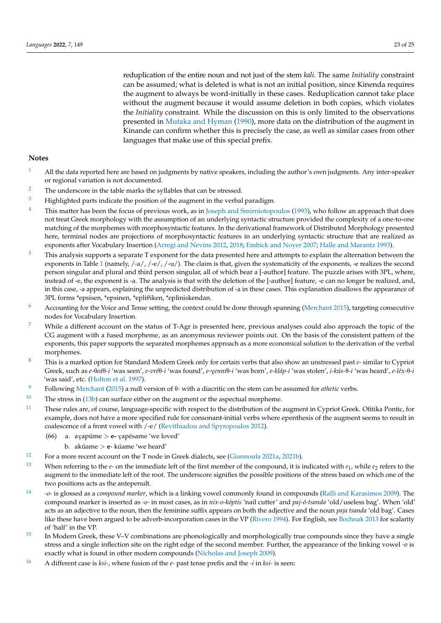reduplication of the entire noun and not just of the stem *kali*. The same *Initiality* constraint can be assumed; what is deleted is what is not an initial position, since Kinenda requires the augment to always be word-initially in these cases. Reduplication cannot take place without the augment because it would assume deletion in both copies, which violates the *Initiality* constraint. While the discussion on this is only limited to the observations presented in [Mutaka and Hyman](#page-24-13) [\(1990\)](#page-24-13), more data on the distribution of the augment in Kinande can confirm whether this is precisely the case, as well as similar cases from other languages that make use of this special prefix.

# **Notes**

- <span id="page-22-0"></span><sup>[1](#page-0-0)</sup> All the data reported here are based on judgments by native speakers, including the author's own judgments. Any inter-speaker or regional variation is not documented.
- <span id="page-22-1"></span><sup>[2](#page-2-3)</sup> The underscore in the table marks the syllables that can be stressed.
- <span id="page-22-2"></span> $3$  Highlighted parts indicate the position of the augment in the verbal paradigm.
- <span id="page-22-3"></span><sup>[4](#page-4-1)</sup> This matter has been the focus of previous work, as in [Joseph and Smirniotopoulos](#page-24-4) [\(1993\)](#page-24-4), who follow an approach that does not treat Greek morphology with the assumption of an underlying syntactic structure provided the complexity of a one-to-one matching of the morphemes with morphosyntactic features. In the derivational framework of Distributed Morphology presented here, terminal nodes are projections of morphosyntactic features in an underlying syntactic structure that are realized as exponents after Vocabulary Insertion [\(Arregi and Nevins](#page-23-0) [2012,](#page-23-9) [2018;](#page-23-0) [Embick and Noyer](#page-23-15) [2007;](#page-23-15) [Halle and Marantz](#page-23-16) [1993\)](#page-23-16).
- <span id="page-22-4"></span><sup>[5](#page-4-2)</sup> This analysis supports a separate T exponent for the data presented here and attempts to explain the alternation between the exponents in Table [1](#page-3-0) (namely,  $/ -a/$ ,  $/ -e/$ ,  $/ -u/$ ). The claim is that, given the systematicity of the exponents, -e realizes the second person singular and plural and third person singular, all of which bear a [-author] feature. The puzzle arises with 3PL, where, instead of -e, the exponent is -a. The analysis is that with the deletion of the [-author] feature, -e can no longer be realized, and, in this case, -a appears, explaining the unpredicted distribution of -a in these cases. This explanation disallows the appearance of 3PL forms \*epsisen, \*epsinen, \*epli*θ*iken, \*epliniskendan.
- <span id="page-22-5"></span> $6$  Accounting for the Voice and Tense setting, the context could be done through spanning [\(Merchant](#page-24-0) [2015\)](#page-24-0), targeting consecutive nodes for Vocabulary Insertion.
- <span id="page-22-6"></span>While a different account on the status of T-Agr is presented here, previous analyses could also approach the topic of the CG augment with a fused morpheme, as an anonymous reviewer points out. On the basis of the consistent pattern of the exponents, this paper supports the separated morphemes approach as a more economical solution to the derivation of the verbal morphemes.
- <span id="page-22-7"></span>[8](#page-5-2) This is a marked option for Standard Modern Greek only for certain verbs that also show an unstressed past *e-* similar to Cypriot Greek, such as e-0eá0-i 'was seen', e-vré0-i 'was found', e-yenní0-i 'was born', e-kláp-i 'was stolen', i-kús-0-i 'was heard', e-léx-0-i 'was said', etc. [\(Holton et al.](#page-23-1) [1997\)](#page-23-1).
- <span id="page-22-8"></span><sup>[9](#page-5-3)</sup> Following [Merchant](#page-24-0) [\(2015\)](#page-24-0) a null version of θ- with a diacritic on the stem can be assumed for *athetic* verbs.
- <span id="page-22-9"></span><sup>[10](#page-6-2)</sup> The stress in  $(13b)$  can surface either on the augment or the aspectual morpheme.
- <span id="page-22-10"></span> $11$  These rules are, of course, language-specific with respect to the distribution of the augment in Cypriot Greek. Ofitika Pontic, for example, does not have a more specified rule for consonant-initial verbs where epenthesis of the augment seems to result in coalescence of a front vowel with /-e/ [\(Revithiadou and Spyropoulos](#page-24-14) [2012\)](#page-24-14).
	- (66) a. ayapúme > **e** yapésame 'we loved'
		- b. akúame > **e** kúame 'we heard'
- <span id="page-22-11"></span><sup>[12](#page-7-5)</sup> For a more recent account on the T node in Greek dialects, see [\(Giannoula](#page-23-17) [2021a,](#page-23-17) [2021b\)](#page-23-18).
- <span id="page-22-12"></span><sup>[13](#page-9-1)</sup> When referring to the  $e$ - on the immediate left of the first member of the compound, it is indicated with  $e_1$ , while  $e_2$  refers to the augment to the immediate left of the root. The underscore signifies the possible positions of the stress based on which one of the two positions acts as the antepenult.
- <span id="page-22-13"></span>[14](#page-9-2) *-o-* is glossed as a *compound marker*, which is a linking vowel commonly found in compounds [\(Ralli and Karasimos](#page-24-15) [2009\)](#page-24-15). The compound marker is inserted as *-o-* in most cases, as in *nix-o-kóptis* 'nail cutter' and *paj-ó-tsanda* 'old/useless bag'. When 'old' acts as an adjective to the noun, then the feminine suffix appears on both the adjective and the noun *paja tsanda* 'old bag'. Cases like these have been argued to be adverb-incorporation cases in the VP [\(Rivero](#page-24-16) [1994\)](#page-24-16). For English, see [Bochnak](#page-23-19) [2013](#page-23-19) for scalarity of 'half' in the VP.
- <span id="page-22-14"></span><sup>[15](#page-10-0)</sup> In Modern Greek, these V–V combinations are phonologically and morphologically true compounds since they have a single stress and a single inflection site on the right edge of the second member. Further, the appearance of the linking vowel *-o* is exactly what is found in other modern compounds [\(Nicholas and Joseph](#page-24-17) [2009\)](#page-24-17).
- <span id="page-22-15"></span>[16](#page-11-2) A different case is *ksi-*, where fusion of the *e-* past tense prefix and the *-i* in *ksi-* is seen: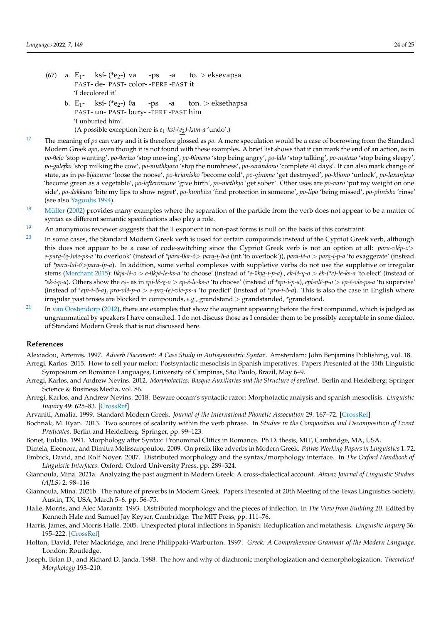- (67) a.  $E_1$  ksí- $(*e_2-)$  va PAST-de- PAST-color- -PERF -PAST it -ps -a to. > eksevapsa 'I decolored it'. b.  $E_1$ ksí- (\*e<sub>2</sub>-) θa -ps -a ton. > eksethapsa
	- PAST-un- PAST-bury- -PERF -PAST him 'I unburied him'. (A possible exception here is *e*<sup>1</sup> *-ksi-(e*2*)-kam-a* 'undo'.)
- <span id="page-23-7"></span>[17](#page-11-3) The meaning of *po* can vary and it is therefore glossed as *po*. A mere speculation would be a case of borrowing from the Standard Modern Greek *apo*, even though it is not found with these examples. A brief list shows that it can mark the end of an action, as in *po-*T*elo* 'stop wanting', *po-*T*erizo* 'stop mowing', *po-*T*imeno* 'stop being angry', *po-lalo* 'stop talking', *po-nistazo* 'stop being sleepy', *po-galefko* 'stop milking the cow', *po-muthkjazo* 'stop the numbness', *po-sarandono* 'complete 40 days'. It can also mark change of state, as in *po-*T*ijazume* 'loose the noose', *po-krianisko* 'become cold', *po-ginome* 'get destroyed', *po-kliono* 'unlock', *po-laxanjazo* 'become green as a vegetable', *po-lefteronume* 'give birth', *po-methkjo* 'get sober'. Other uses are *po-varo* 'put my weight on one side', *po-dakkano* 'bite my lips to show regret', *po-kumbizo* 'find protection in someone', *po-lipo* 'being missed', *po-plinisko* 'rinse' (see also [Yagoulis](#page-24-18) [1994\)](#page-24-18).
- <span id="page-23-8"></span><sup>[18](#page-13-2)</sup> [Müller](#page-24-11) [\(2002\)](#page-24-11) provides many examples where the separation of the particle from the verb does not appear to be a matter of syntax as different semantic specifications also play a role.
- <span id="page-23-12"></span> $19$  An anonymous reviewer suggests that the T exponent in non-past forms is null on the basis of this constraint.
- <span id="page-23-13"></span><sup>[20](#page-17-1)</sup> In some cases, the Standard Modern Greek verb is used for certain compounds instead of the Cypriot Greek verb, although this does not appear to be a case of code-switching since the Cypriot Greek verb is not an option at all: *para-vlép-o*> *e-para-(e-)vle-ps-a* 'to overlook' (instead of *\*para-*T*or-ó*> *para-i-*D*-a* (int.'to overlook')), *para-lé-o* > *para-i-p-a* 'to exaggerate' (instead of *\*para-lal-ó*>*para-ip-a*). In addition, some verbal complexes with suppletive verbs do not use the suppletive or irregular stems [\(Merchant](#page-24-0) [2015\)](#page-24-0):  $\theta$ *kja-lé-o* > *e-* $\theta$ *kjá-le-ks-a* 'to choose' (instead of  $*$ *e-* $\theta$ *kja-i-p-a*) , *ek-lé-*y-*o* > *ék-*(\**e)-le-ks-a* 'to elect' (instead of *\*ek-i-p-a*). Others show the *e*2*-* as in *epi-lé-*G*-o* > *ep-é-le-ks-a* 'to choose' (instead of \**epi-i-p-a*), *epi-vlé-p-o* > *ep-é-vle-ps-a* 'to supervise' (instead of  $*epi-i-\delta-a$ ), *pro-vlé-p-o* > *e-pr*<sub>2</sub>-(*e*)-*vle-ps-a* 'to predict' (instead of  $*poi-\delta-a$ ). This is also the case in English where irregular past tenses are blocked in compounds, *e.g.*, grandstand > grandstanded, \*grandstood.
- <span id="page-23-14"></span> $21$  In [van Oostendorp](#page-24-3) [\(2012\)](#page-24-3), there are examples that show the augment appearing before the first compound, which is judged as ungrammatical by speakers I have consulted. I do not discuss those as I consider them to be possibly acceptable in some dialect of Standard Modern Greek that is not discussed here.

# **References**

<span id="page-23-10"></span><span id="page-23-5"></span>Alexiadou, Artemis. 1997. *Adverb Placement: A Case Study in Antisymmetric Syntax*. Amsterdam: John Benjamins Publishing, vol. 18. Arregi, Karlos. 2015. How to sell your melon: Postsyntactic mesoclisis in Spanish imperatives. Papers Presented at the 45th Linguistic

- <span id="page-23-9"></span>Symposium on Romance Languages, University of Campinas, São Paulo, Brazil, May 6–9. Arregi, Karlos, and Andrew Nevins. 2012. *Morphotactics: Basque Auxiliaries and the Structure of spellout*. Berlin and Heidelberg: Springer Science & Business Media, vol. 86.
- <span id="page-23-0"></span>Arregi, Karlos, and Andrew Nevins. 2018. Beware occam's syntactic razor: Morphotactic analysis and spanish mesoclisis. *Linguistic Inquiry* 49: 625–83. [\[CrossRef\]](http://doi.org/10.1162/ling_a_00286)
- <span id="page-23-2"></span>Arvaniti, Amalia. 1999. Standard Modern Greek. *Journal of the International Phonetic Association* 29: 167–72. [\[CrossRef\]](http://dx.doi.org/10.1017/S0025100300006538)
- <span id="page-23-19"></span>Bochnak, M. Ryan. 2013. Two sources of scalarity within the verb phrase. In *Studies in the Composition and Decomposition of Event Predicates*. Berlin and Heidelberg: Springer, pp. 99–123.
- <span id="page-23-4"></span>Bonet, Eulalia. 1991. Morphology after Syntax: Pronominal Clitics in Romance. Ph.D. thesis, MIT, Cambridge, MA, USA.
- <span id="page-23-15"></span><span id="page-23-6"></span>Dimela, Eleonora, and Dimitra Melissaropoulou. 2009. On prefix like adverbs in Modern Greek. *Patras Working Papers in Linguistics* 1: 72. Embick, David, and Rolf Noyer. 2007. Distributed morphology and the syntax/morphology interface. In *The Oxford Handbook of Linguistic Interfaces*. Oxford: Oxford University Press, pp. 289–324.
- <span id="page-23-17"></span>Giannoula, Mina. 2021a. Analyzing the past augment in Modern Greek: A cross-dialectical account. *Ahwaz Journal of Linguistic Studies (AJLS)* 2: 98–116
- <span id="page-23-18"></span>Giannoula, Mina. 2021b. The nature of preverbs in Modern Greek. Papers Presented at 20th Meeting of the Texas Linguistics Society, Austin, TX, USA, March 5–6. pp. 56–75.
- <span id="page-23-16"></span>Halle, Morris, and Alec Marantz. 1993. Distributed morphology and the pieces of inflection. In *The View from Building 20*. Edited by Kenneth Hale and Samuel Jay Keyser, Cambridge: The MIT Press, pp. 111–76.
- <span id="page-23-11"></span>Harris, James, and Morris Halle. 2005. Unexpected plural inflections in Spanish: Reduplication and metathesis. *Linguistic Inquiry* 36: 195–222. [\[CrossRef\]](http://dx.doi.org/10.1162/0024389053710710)
- <span id="page-23-1"></span>Holton, David, Peter Mackridge, and Irene Philippaki-Warburton. 1997. *Greek: A Comprehensive Grammar of the Modern Language*. London: Routledge.
- <span id="page-23-3"></span>Joseph, Brian D., and Richard D. Janda. 1988. The how and why of diachronic morphologization and demorphologization. *Theoretical Morphology* 193–210.